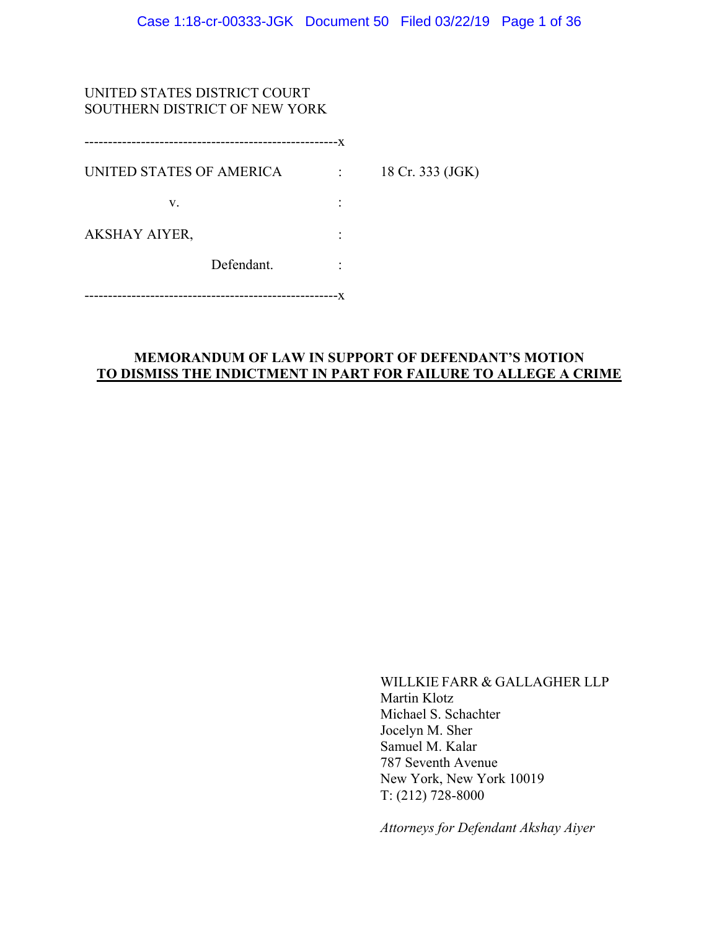# UNITED STATES DISTRICT COURT SOUTHERN DISTRICT OF NEW YORK

| UNITED STATES OF AMERICA | $\mathbb{R}^{n}$ | 18 Cr. 333 (JGK) |
|--------------------------|------------------|------------------|
| V.                       |                  |                  |
| AKSHAY AIYER,            |                  |                  |
| Defendant.               |                  |                  |
|                          |                  |                  |

## **MEMORANDUM OF LAW IN SUPPORT OF DEFENDANT'S MOTION TO DISMISS THE INDICTMENT IN PART FOR FAILURE TO ALLEGE A CRIME**

WILLKIE FARR & GALLAGHER LLP Martin Klotz Michael S. Schachter Jocelyn M. Sher Samuel M. Kalar 787 Seventh Avenue New York, New York 10019 T: (212) 728-8000

*Attorneys for Defendant Akshay Aiyer*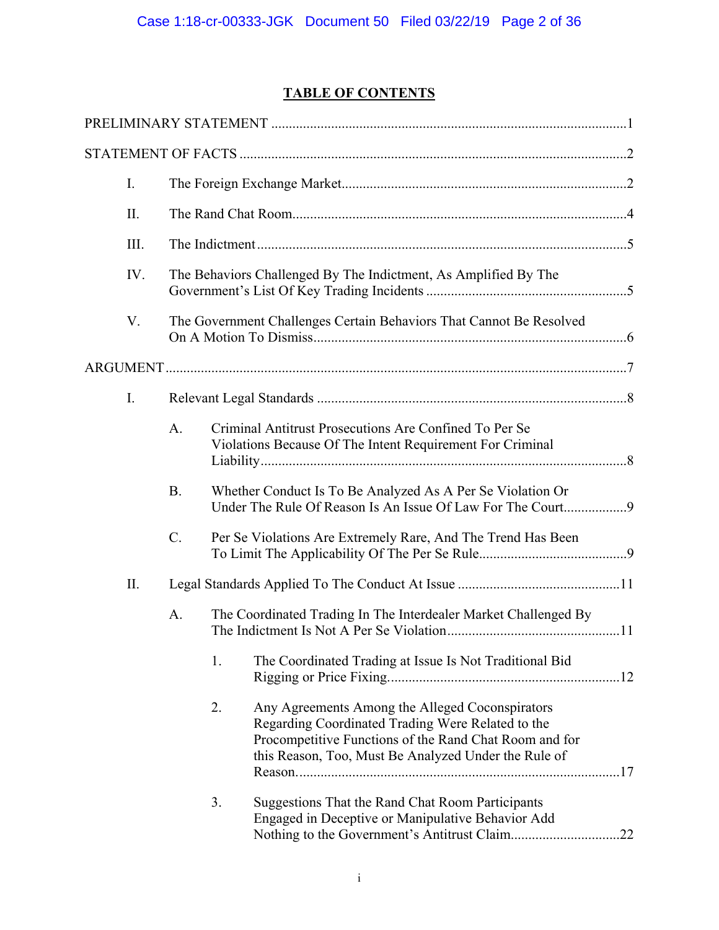# **TABLE OF CONTENTS**

| I.   |           |    |                                                                                                                                                                                                                        |  |
|------|-----------|----|------------------------------------------------------------------------------------------------------------------------------------------------------------------------------------------------------------------------|--|
| II.  |           |    |                                                                                                                                                                                                                        |  |
| III. |           |    |                                                                                                                                                                                                                        |  |
| IV.  |           |    | The Behaviors Challenged By The Indictment, As Amplified By The                                                                                                                                                        |  |
| V.   |           |    | The Government Challenges Certain Behaviors That Cannot Be Resolved                                                                                                                                                    |  |
|      |           |    |                                                                                                                                                                                                                        |  |
| I.   |           |    |                                                                                                                                                                                                                        |  |
|      | A.        |    | Criminal Antitrust Prosecutions Are Confined To Per Se<br>Violations Because Of The Intent Requirement For Criminal                                                                                                    |  |
|      | <b>B.</b> |    | Whether Conduct Is To Be Analyzed As A Per Se Violation Or<br>Under The Rule Of Reason Is An Issue Of Law For The Court9                                                                                               |  |
|      | $C$ .     |    | Per Se Violations Are Extremely Rare, And The Trend Has Been                                                                                                                                                           |  |
| II.  |           |    |                                                                                                                                                                                                                        |  |
|      | A.        |    | The Coordinated Trading In The Interdealer Market Challenged By                                                                                                                                                        |  |
|      |           | 1. | The Coordinated Trading at Issue Is Not Traditional Bid                                                                                                                                                                |  |
|      |           | 2. | Any Agreements Among the Alleged Coconspirators<br>Regarding Coordinated Trading Were Related to the<br>Procompetitive Functions of the Rand Chat Room and for<br>this Reason, Too, Must Be Analyzed Under the Rule of |  |
|      |           | 3. | Suggestions That the Rand Chat Room Participants<br>Engaged in Deceptive or Manipulative Behavior Add<br>Nothing to the Government's Antitrust Claim22                                                                 |  |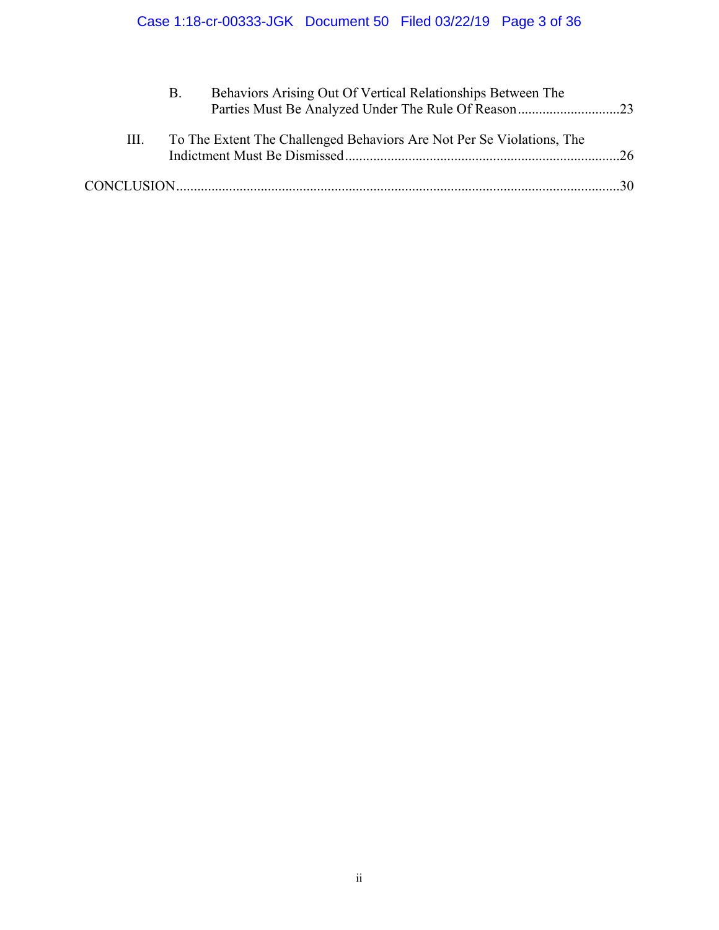|    | Behaviors Arising Out Of Vertical Relationships Between The           |  |
|----|-----------------------------------------------------------------------|--|
| Ш. | To The Extent The Challenged Behaviors Are Not Per Se Violations, The |  |
|    |                                                                       |  |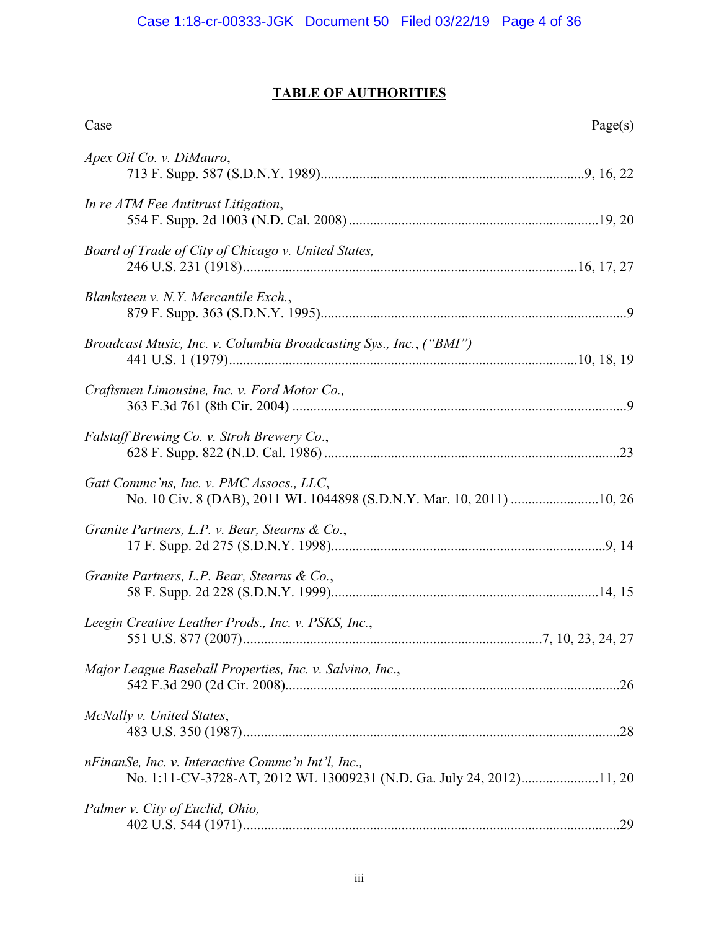# **TABLE OF AUTHORITIES**

| Case                                                                                                                       | Page(s) |
|----------------------------------------------------------------------------------------------------------------------------|---------|
| Apex Oil Co. v. DiMauro,                                                                                                   |         |
| In re ATM Fee Antitrust Litigation,                                                                                        |         |
| Board of Trade of City of Chicago v. United States,                                                                        |         |
| Blanksteen v. N.Y. Mercantile Exch.,                                                                                       |         |
| Broadcast Music, Inc. v. Columbia Broadcasting Sys., Inc., ("BMI")                                                         |         |
| Craftsmen Limousine, Inc. v. Ford Motor Co.,                                                                               |         |
| Falstaff Brewing Co. v. Stroh Brewery Co.,                                                                                 |         |
| Gatt Comme'ns, Inc. v. PMC Assocs., LLC,<br>No. 10 Civ. 8 (DAB), 2011 WL 1044898 (S.D.N.Y. Mar. 10, 2011) 10, 26           |         |
| Granite Partners, L.P. v. Bear, Stearns & Co.,                                                                             |         |
| Granite Partners, L.P. Bear, Stearns & Co.,                                                                                |         |
| Leegin Creative Leather Prods., Inc. v. PSKS, Inc.,                                                                        |         |
| Major League Baseball Properties, Inc. v. Salvino, Inc.,                                                                   |         |
| McNally v. United States,                                                                                                  |         |
| nFinanSe, Inc. v. Interactive Commc'n Int'l, Inc.,<br>No. 1:11-CV-3728-AT, 2012 WL 13009231 (N.D. Ga. July 24, 2012)11, 20 |         |
| Palmer v. City of Euclid, Ohio,                                                                                            |         |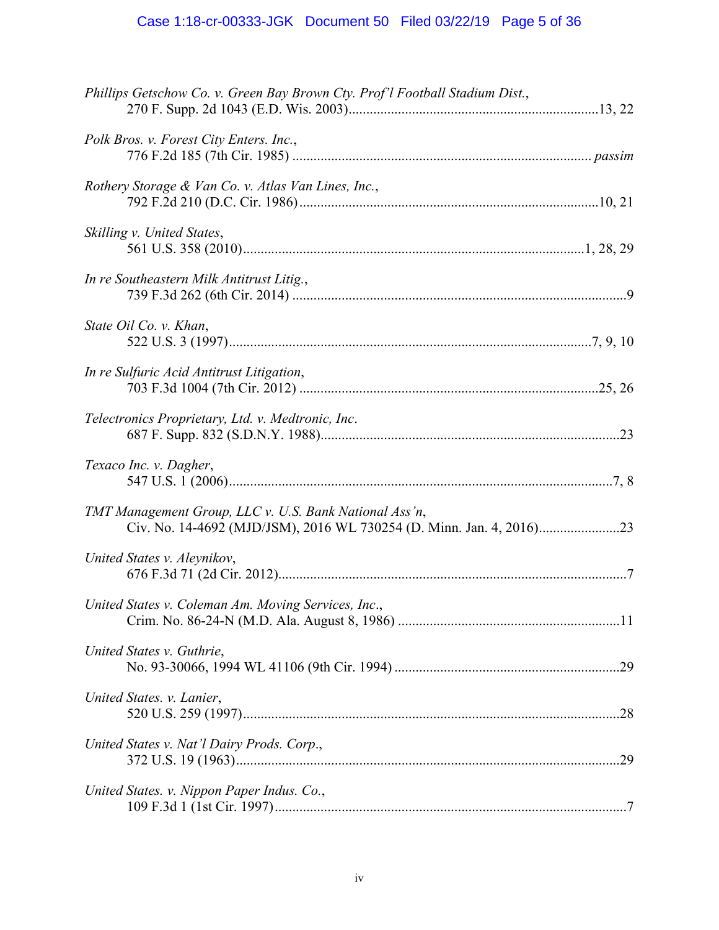# Case 1:18-cr-00333-JGK Document 50 Filed 03/22/19 Page 5 of 36

| Phillips Getschow Co. v. Green Bay Brown Cty. Prof'l Football Stadium Dist., |  |
|------------------------------------------------------------------------------|--|
| Polk Bros. v. Forest City Enters. Inc.,                                      |  |
| Rothery Storage & Van Co. v. Atlas Van Lines, Inc.,                          |  |
| Skilling v. United States,                                                   |  |
| In re Southeastern Milk Antitrust Litig.,                                    |  |
| State Oil Co. v. Khan,                                                       |  |
| In re Sulfuric Acid Antitrust Litigation,                                    |  |
| Telectronics Proprietary, Ltd. v. Medtronic, Inc.                            |  |
| Texaco Inc. v. Dagher,                                                       |  |
| TMT Management Group, LLC v. U.S. Bank National Ass'n,                       |  |
| United States v. Aleynikov,                                                  |  |
| United States v. Coleman Am. Moving Services, Inc.,                          |  |
| United States v. Guthrie,                                                    |  |
| United States. v. Lanier,                                                    |  |
| United States v. Nat'l Dairy Prods. Corp.,                                   |  |
| United States. v. Nippon Paper Indus. Co.,                                   |  |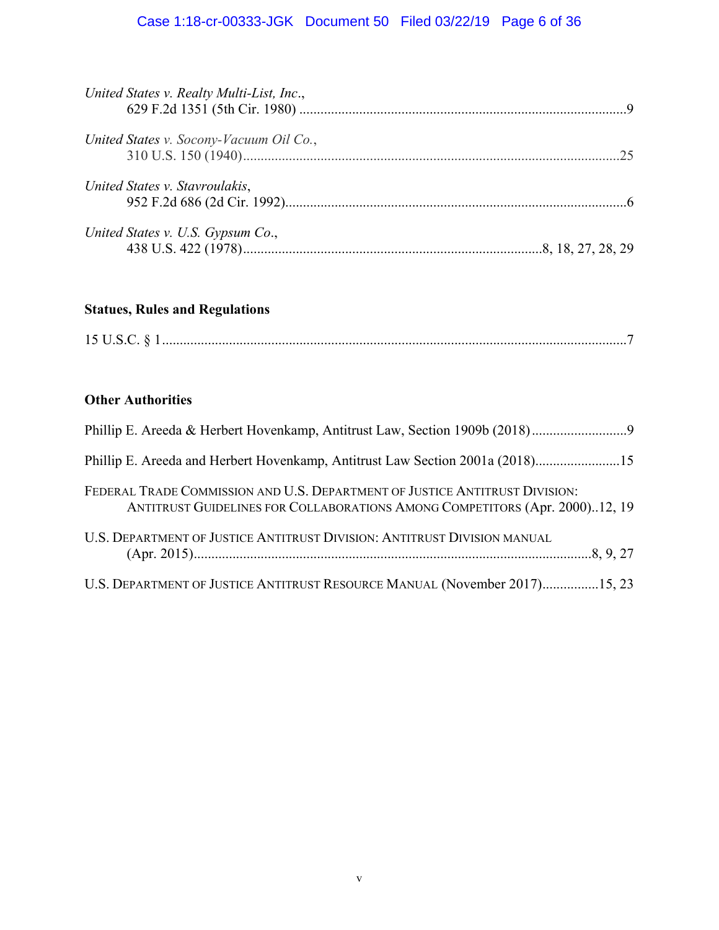# Case 1:18-cr-00333-JGK Document 50 Filed 03/22/19 Page 6 of 36

| United States v. Realty Multi-List, Inc., |  |
|-------------------------------------------|--|
| United States v. Socony-Vacuum Oil Co.,   |  |
| United States v. Stavroulakis,            |  |
| United States v. U.S. Gypsum Co.,         |  |

# **Statues, Rules and Regulations**

| $1.5$ TT ( |  |  |
|------------|--|--|
|------------|--|--|

# **Other Authorities**

| Phillip E. Areeda and Herbert Hovenkamp, Antitrust Law Section 2001a (2018)15                                                                              |
|------------------------------------------------------------------------------------------------------------------------------------------------------------|
| FEDERAL TRADE COMMISSION AND U.S. DEPARTMENT OF JUSTICE ANTITRUST DIVISION:<br>ANTITRUST GUIDELINES FOR COLLABORATIONS AMONG COMPETITORS (Apr. 2000)12, 19 |
| U.S. DEPARTMENT OF JUSTICE ANTITRUST DIVISION: ANTITRUST DIVISION MANUAL                                                                                   |
| U.S. DEPARTMENT OF JUSTICE ANTITRUST RESOURCE MANUAL (November 2017)15, 23                                                                                 |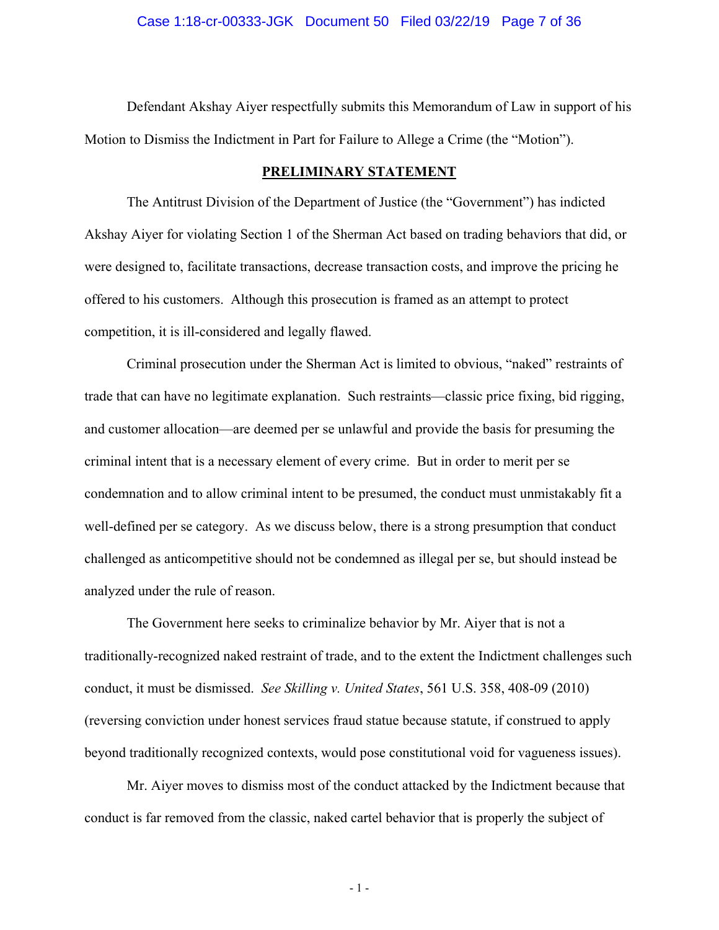Defendant Akshay Aiyer respectfully submits this Memorandum of Law in support of his Motion to Dismiss the Indictment in Part for Failure to Allege a Crime (the "Motion").

### **PRELIMINARY STATEMENT**

The Antitrust Division of the Department of Justice (the "Government") has indicted Akshay Aiyer for violating Section 1 of the Sherman Act based on trading behaviors that did, or were designed to, facilitate transactions, decrease transaction costs, and improve the pricing he offered to his customers. Although this prosecution is framed as an attempt to protect competition, it is ill-considered and legally flawed.

Criminal prosecution under the Sherman Act is limited to obvious, "naked" restraints of trade that can have no legitimate explanation. Such restraints—classic price fixing, bid rigging, and customer allocation—are deemed per se unlawful and provide the basis for presuming the criminal intent that is a necessary element of every crime. But in order to merit per se condemnation and to allow criminal intent to be presumed, the conduct must unmistakably fit a well-defined per se category. As we discuss below, there is a strong presumption that conduct challenged as anticompetitive should not be condemned as illegal per se, but should instead be analyzed under the rule of reason.

The Government here seeks to criminalize behavior by Mr. Aiyer that is not a traditionally-recognized naked restraint of trade, and to the extent the Indictment challenges such conduct, it must be dismissed. *See Skilling v. United States*, 561 U.S. 358, 408-09 (2010) (reversing conviction under honest services fraud statue because statute, if construed to apply beyond traditionally recognized contexts, would pose constitutional void for vagueness issues).

Mr. Aiyer moves to dismiss most of the conduct attacked by the Indictment because that conduct is far removed from the classic, naked cartel behavior that is properly the subject of

- 1 -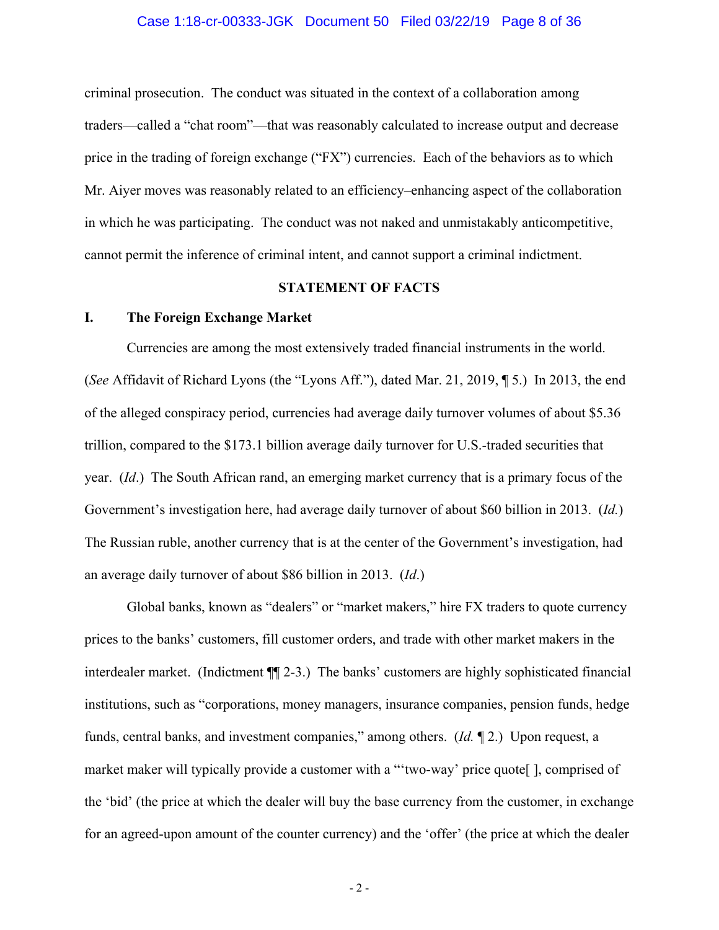### Case 1:18-cr-00333-JGK Document 50 Filed 03/22/19 Page 8 of 36

criminal prosecution. The conduct was situated in the context of a collaboration among traders—called a "chat room"—that was reasonably calculated to increase output and decrease price in the trading of foreign exchange ("FX") currencies. Each of the behaviors as to which Mr. Aiyer moves was reasonably related to an efficiency–enhancing aspect of the collaboration in which he was participating. The conduct was not naked and unmistakably anticompetitive, cannot permit the inference of criminal intent, and cannot support a criminal indictment.

## **STATEMENT OF FACTS**

## **I. The Foreign Exchange Market**

Currencies are among the most extensively traded financial instruments in the world. (*See* Affidavit of Richard Lyons (the "Lyons Aff."), dated Mar. 21, 2019, ¶ 5.) In 2013, the end of the alleged conspiracy period, currencies had average daily turnover volumes of about \$5.36 trillion, compared to the \$173.1 billion average daily turnover for U.S.-traded securities that year. (*Id*.) The South African rand, an emerging market currency that is a primary focus of the Government's investigation here, had average daily turnover of about \$60 billion in 2013. (*Id.*) The Russian ruble, another currency that is at the center of the Government's investigation, had an average daily turnover of about \$86 billion in 2013. (*Id*.)

Global banks, known as "dealers" or "market makers," hire FX traders to quote currency prices to the banks' customers, fill customer orders, and trade with other market makers in the interdealer market. (Indictment ¶¶ 2-3.) The banks' customers are highly sophisticated financial institutions, such as "corporations, money managers, insurance companies, pension funds, hedge funds, central banks, and investment companies," among others. (*Id.* ¶ 2.) Upon request, a market maker will typically provide a customer with a "'two-way' price quote[ ], comprised of the 'bid' (the price at which the dealer will buy the base currency from the customer, in exchange for an agreed-upon amount of the counter currency) and the 'offer' (the price at which the dealer

 $-2 -$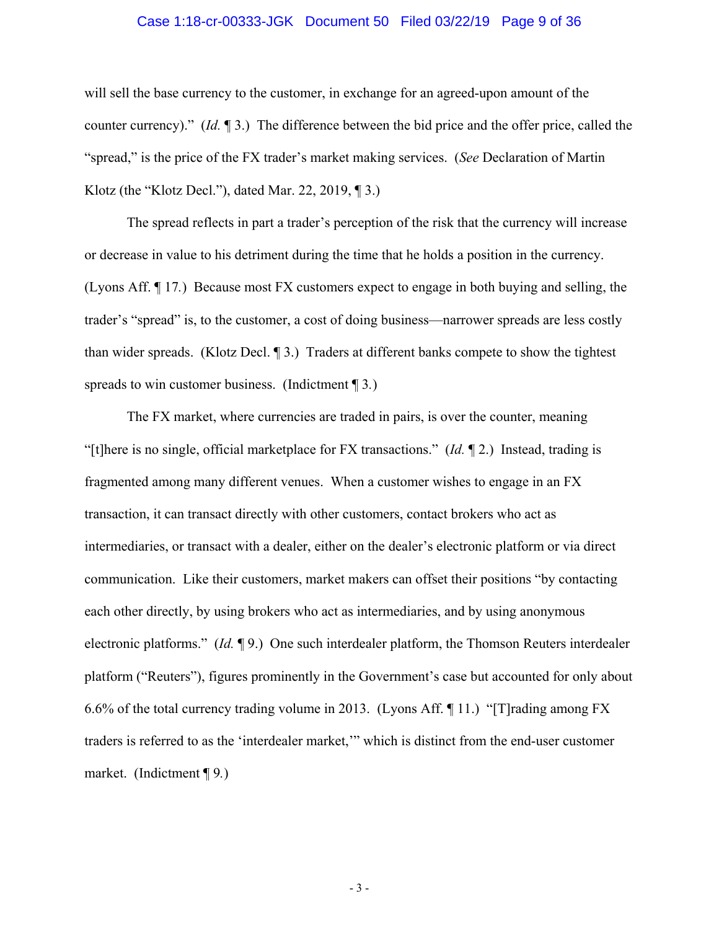## Case 1:18-cr-00333-JGK Document 50 Filed 03/22/19 Page 9 of 36

will sell the base currency to the customer, in exchange for an agreed-upon amount of the counter currency)." (*Id.* ¶ 3.) The difference between the bid price and the offer price, called the "spread," is the price of the FX trader's market making services. (*See* Declaration of Martin Klotz (the "Klotz Decl."), dated Mar. 22, 2019,  $\P$ 3.)

The spread reflects in part a trader's perception of the risk that the currency will increase or decrease in value to his detriment during the time that he holds a position in the currency. (Lyons Aff. ¶ 17*.*) Because most FX customers expect to engage in both buying and selling, the trader's "spread" is, to the customer, a cost of doing business—narrower spreads are less costly than wider spreads. (Klotz Decl. ¶ 3.) Traders at different banks compete to show the tightest spreads to win customer business. (Indictment ¶ 3*.*)

The FX market, where currencies are traded in pairs, is over the counter, meaning "[t]here is no single, official marketplace for FX transactions." (*Id.* ¶ 2.) Instead, trading is fragmented among many different venues. When a customer wishes to engage in an FX transaction, it can transact directly with other customers, contact brokers who act as intermediaries, or transact with a dealer, either on the dealer's electronic platform or via direct communication. Like their customers, market makers can offset their positions "by contacting each other directly, by using brokers who act as intermediaries, and by using anonymous electronic platforms." (*Id.* ¶ 9.) One such interdealer platform, the Thomson Reuters interdealer platform ("Reuters"), figures prominently in the Government's case but accounted for only about 6.6% of the total currency trading volume in 2013. (Lyons Aff. ¶ 11.) "[T]rading among FX traders is referred to as the 'interdealer market,'" which is distinct from the end-user customer market. (Indictment ¶ 9*.*)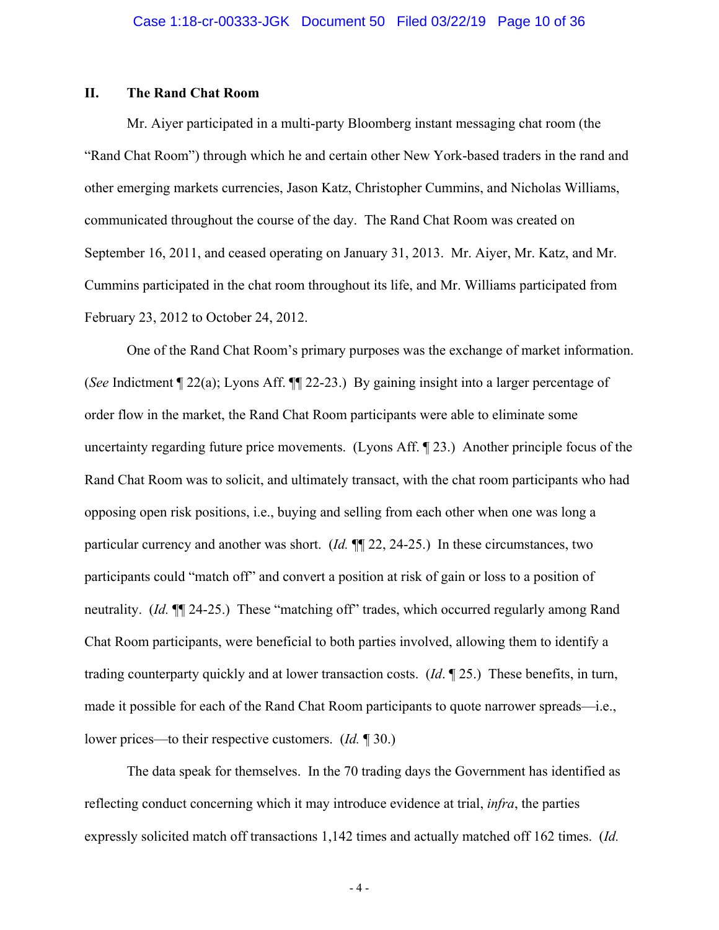## **II. The Rand Chat Room**

Mr. Aiyer participated in a multi-party Bloomberg instant messaging chat room (the "Rand Chat Room") through which he and certain other New York-based traders in the rand and other emerging markets currencies, Jason Katz, Christopher Cummins, and Nicholas Williams, communicated throughout the course of the day. The Rand Chat Room was created on September 16, 2011, and ceased operating on January 31, 2013. Mr. Aiyer, Mr. Katz, and Mr. Cummins participated in the chat room throughout its life, and Mr. Williams participated from February 23, 2012 to October 24, 2012.

One of the Rand Chat Room's primary purposes was the exchange of market information. (*See* Indictment ¶ 22(a); Lyons Aff. ¶¶ 22-23.) By gaining insight into a larger percentage of order flow in the market, the Rand Chat Room participants were able to eliminate some uncertainty regarding future price movements. (Lyons Aff. ¶ 23.) Another principle focus of the Rand Chat Room was to solicit, and ultimately transact, with the chat room participants who had opposing open risk positions, i.e., buying and selling from each other when one was long a particular currency and another was short. (*Id.* ¶¶ 22, 24-25.) In these circumstances, two participants could "match off" and convert a position at risk of gain or loss to a position of neutrality. (*Id.* ¶¶ 24-25.) These "matching off" trades, which occurred regularly among Rand Chat Room participants, were beneficial to both parties involved, allowing them to identify a trading counterparty quickly and at lower transaction costs. (*Id*. ¶ 25.) These benefits, in turn, made it possible for each of the Rand Chat Room participants to quote narrower spreads—i.e., lower prices—to their respective customers. (*Id.* ¶ 30.)

The data speak for themselves. In the 70 trading days the Government has identified as reflecting conduct concerning which it may introduce evidence at trial, *infra*, the parties expressly solicited match off transactions 1,142 times and actually matched off 162 times. (*Id.*

- 4 -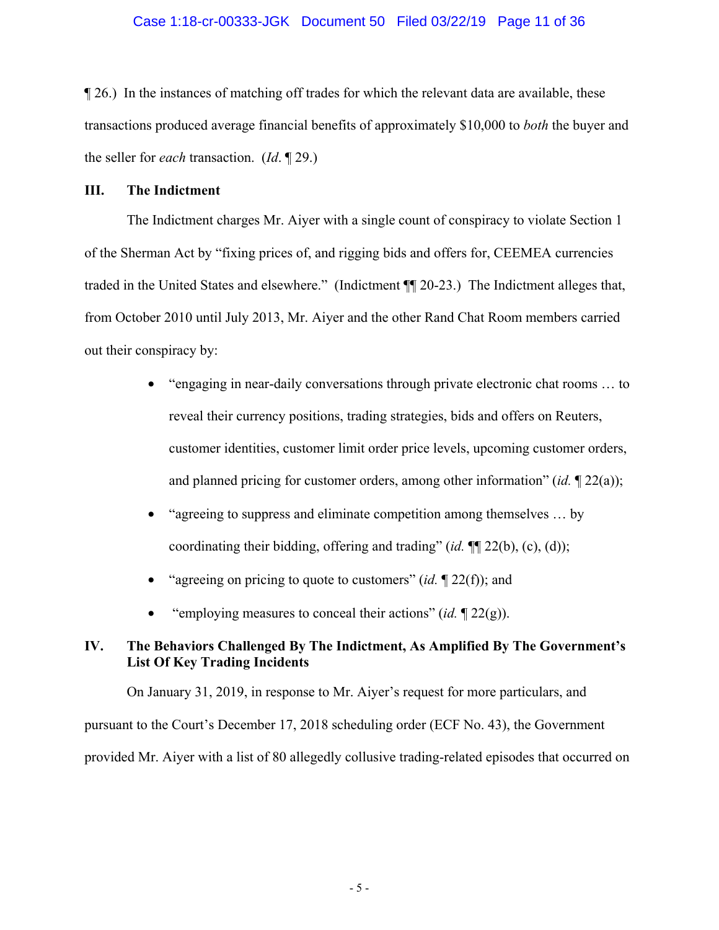## Case 1:18-cr-00333-JGK Document 50 Filed 03/22/19 Page 11 of 36

¶ 26.) In the instances of matching off trades for which the relevant data are available, these transactions produced average financial benefits of approximately \$10,000 to *both* the buyer and the seller for *each* transaction. (*Id*. ¶ 29.)

## **III. The Indictment**

The Indictment charges Mr. Aiyer with a single count of conspiracy to violate Section 1 of the Sherman Act by "fixing prices of, and rigging bids and offers for, CEEMEA currencies traded in the United States and elsewhere." (Indictment ¶¶ 20-23.) The Indictment alleges that, from October 2010 until July 2013, Mr. Aiyer and the other Rand Chat Room members carried out their conspiracy by:

- "engaging in near-daily conversations through private electronic chat rooms ... to reveal their currency positions, trading strategies, bids and offers on Reuters, customer identities, customer limit order price levels, upcoming customer orders, and planned pricing for customer orders, among other information" (*id.* ¶ 22(a));
- "agreeing to suppress and eliminate competition among themselves ... by coordinating their bidding, offering and trading" (*id.* ¶¶ 22(b), (c), (d));
- "agreeing on pricing to quote to customers" (*id.*  $\mathbb{Z}(2(f))$ ; and
- "employing measures to conceal their actions" (*id.* ¶ 22(g)).

# **IV. The Behaviors Challenged By The Indictment, As Amplified By The Government's List Of Key Trading Incidents**

On January 31, 2019, in response to Mr. Aiyer's request for more particulars, and pursuant to the Court's December 17, 2018 scheduling order (ECF No. 43), the Government provided Mr. Aiyer with a list of 80 allegedly collusive trading-related episodes that occurred on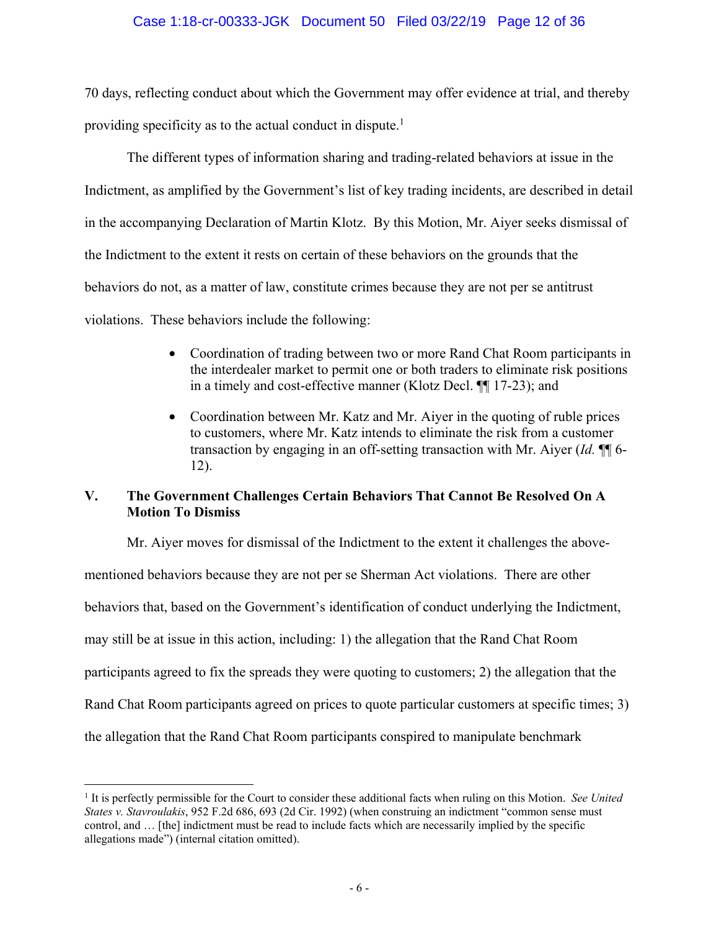## Case 1:18-cr-00333-JGK Document 50 Filed 03/22/19 Page 12 of 36

70 days, reflecting conduct about which the Government may offer evidence at trial, and thereby providing specificity as to the actual conduct in dispute.<sup>1</sup>

The different types of information sharing and trading-related behaviors at issue in the Indictment, as amplified by the Government's list of key trading incidents, are described in detail in the accompanying Declaration of Martin Klotz. By this Motion, Mr. Aiyer seeks dismissal of the Indictment to the extent it rests on certain of these behaviors on the grounds that the behaviors do not, as a matter of law, constitute crimes because they are not per se antitrust violations. These behaviors include the following:

- Coordination of trading between two or more Rand Chat Room participants in the interdealer market to permit one or both traders to eliminate risk positions in a timely and cost-effective manner (Klotz Decl. ¶¶ 17-23); and
- Coordination between Mr. Katz and Mr. Aiyer in the quoting of ruble prices to customers, where Mr. Katz intends to eliminate the risk from a customer transaction by engaging in an off-setting transaction with Mr. Aiyer (*Id.* ¶¶ 6- 12).

# **V. The Government Challenges Certain Behaviors That Cannot Be Resolved On A Motion To Dismiss**

Mr. Aiyer moves for dismissal of the Indictment to the extent it challenges the abovementioned behaviors because they are not per se Sherman Act violations. There are other behaviors that, based on the Government's identification of conduct underlying the Indictment, may still be at issue in this action, including: 1) the allegation that the Rand Chat Room participants agreed to fix the spreads they were quoting to customers; 2) the allegation that the Rand Chat Room participants agreed on prices to quote particular customers at specific times; 3) the allegation that the Rand Chat Room participants conspired to manipulate benchmark

<u>.</u>

<sup>&</sup>lt;sup>1</sup> It is perfectly permissible for the Court to consider these additional facts when ruling on this Motion. *See United States v. Stavroulakis*, 952 F.2d 686, 693 (2d Cir. 1992) (when construing an indictment "common sense must control, and … [the] indictment must be read to include facts which are necessarily implied by the specific allegations made") (internal citation omitted).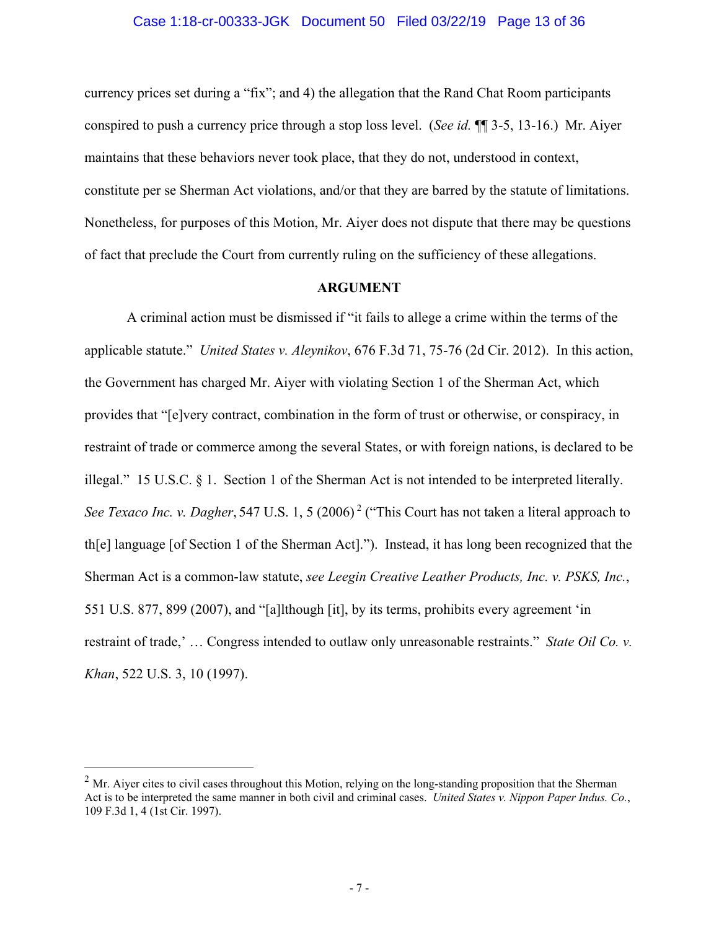### Case 1:18-cr-00333-JGK Document 50 Filed 03/22/19 Page 13 of 36

currency prices set during a "fix"; and 4) the allegation that the Rand Chat Room participants conspired to push a currency price through a stop loss level. (*See id.* ¶¶ 3-5, 13-16.) Mr. Aiyer maintains that these behaviors never took place, that they do not, understood in context, constitute per se Sherman Act violations, and/or that they are barred by the statute of limitations. Nonetheless, for purposes of this Motion, Mr. Aiyer does not dispute that there may be questions of fact that preclude the Court from currently ruling on the sufficiency of these allegations.

## **ARGUMENT**

A criminal action must be dismissed if "it fails to allege a crime within the terms of the applicable statute." *United States v. Aleynikov*, 676 F.3d 71, 75-76 (2d Cir. 2012). In this action, the Government has charged Mr. Aiyer with violating Section 1 of the Sherman Act, which provides that "[e]very contract, combination in the form of trust or otherwise, or conspiracy, in restraint of trade or commerce among the several States, or with foreign nations, is declared to be illegal." 15 U.S.C. § 1. Section 1 of the Sherman Act is not intended to be interpreted literally. *See Texaco Inc. v. Dagher*, 547 U.S. 1, 5 (2006)<sup>2</sup> ("This Court has not taken a literal approach to th[e] language [of Section 1 of the Sherman Act]."). Instead, it has long been recognized that the Sherman Act is a common-law statute, *see Leegin Creative Leather Products, Inc. v. PSKS, Inc.*, 551 U.S. 877, 899 (2007), and "[a]lthough [it], by its terms, prohibits every agreement 'in restraint of trade,' … Congress intended to outlaw only unreasonable restraints." *State Oil Co. v. Khan*, 522 U.S. 3, 10 (1997).

<u>.</u>

 $^{2}$  Mr. Aiyer cites to civil cases throughout this Motion, relying on the long-standing proposition that the Sherman Act is to be interpreted the same manner in both civil and criminal cases. *United States v. Nippon Paper Indus. Co.*, 109 F.3d 1, 4 (1st Cir. 1997).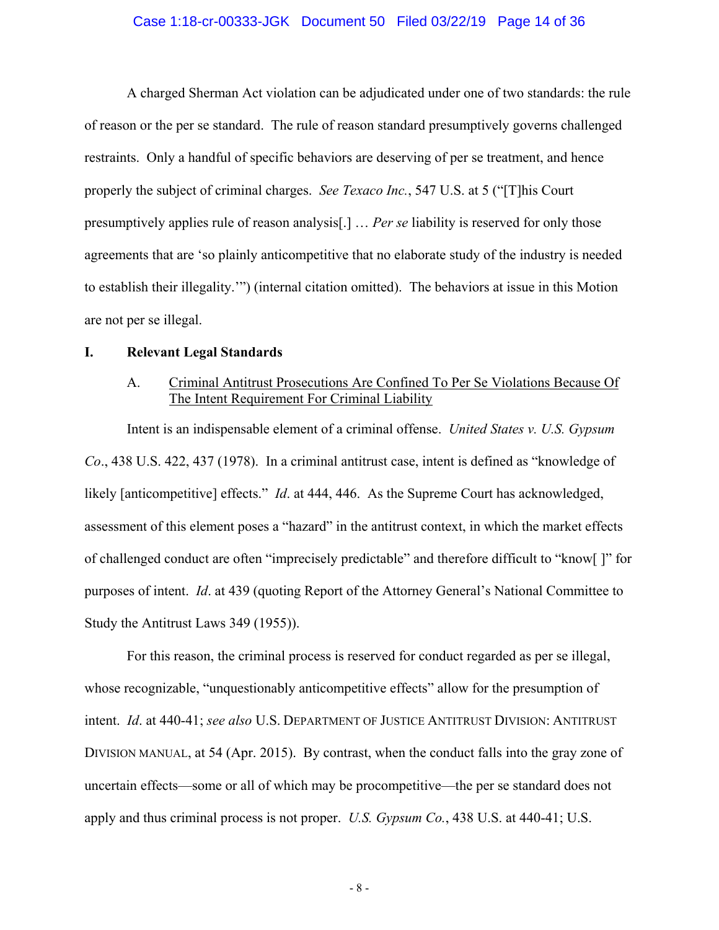## Case 1:18-cr-00333-JGK Document 50 Filed 03/22/19 Page 14 of 36

A charged Sherman Act violation can be adjudicated under one of two standards: the rule of reason or the per se standard. The rule of reason standard presumptively governs challenged restraints. Only a handful of specific behaviors are deserving of per se treatment, and hence properly the subject of criminal charges. *See Texaco Inc.*, 547 U.S. at 5 ("[T]his Court presumptively applies rule of reason analysis[.] … *Per se* liability is reserved for only those agreements that are 'so plainly anticompetitive that no elaborate study of the industry is needed to establish their illegality.'") (internal citation omitted). The behaviors at issue in this Motion are not per se illegal.

#### **I. Relevant Legal Standards**

# A. Criminal Antitrust Prosecutions Are Confined To Per Se Violations Because Of The Intent Requirement For Criminal Liability

Intent is an indispensable element of a criminal offense. *United States v. U.S. Gypsum Co*., 438 U.S. 422, 437 (1978). In a criminal antitrust case, intent is defined as "knowledge of likely [anticompetitive] effects." *Id*. at 444, 446. As the Supreme Court has acknowledged, assessment of this element poses a "hazard" in the antitrust context, in which the market effects of challenged conduct are often "imprecisely predictable" and therefore difficult to "know[ ]" for purposes of intent. *Id*. at 439 (quoting Report of the Attorney General's National Committee to Study the Antitrust Laws 349 (1955)).

For this reason, the criminal process is reserved for conduct regarded as per se illegal, whose recognizable, "unquestionably anticompetitive effects" allow for the presumption of intent. *Id*. at 440-41; *see also* U.S. DEPARTMENT OF JUSTICE ANTITRUST DIVISION: ANTITRUST DIVISION MANUAL, at 54 (Apr. 2015). By contrast, when the conduct falls into the gray zone of uncertain effects—some or all of which may be procompetitive—the per se standard does not apply and thus criminal process is not proper. *U.S. Gypsum Co.*, 438 U.S. at 440-41; U.S.

- 8 -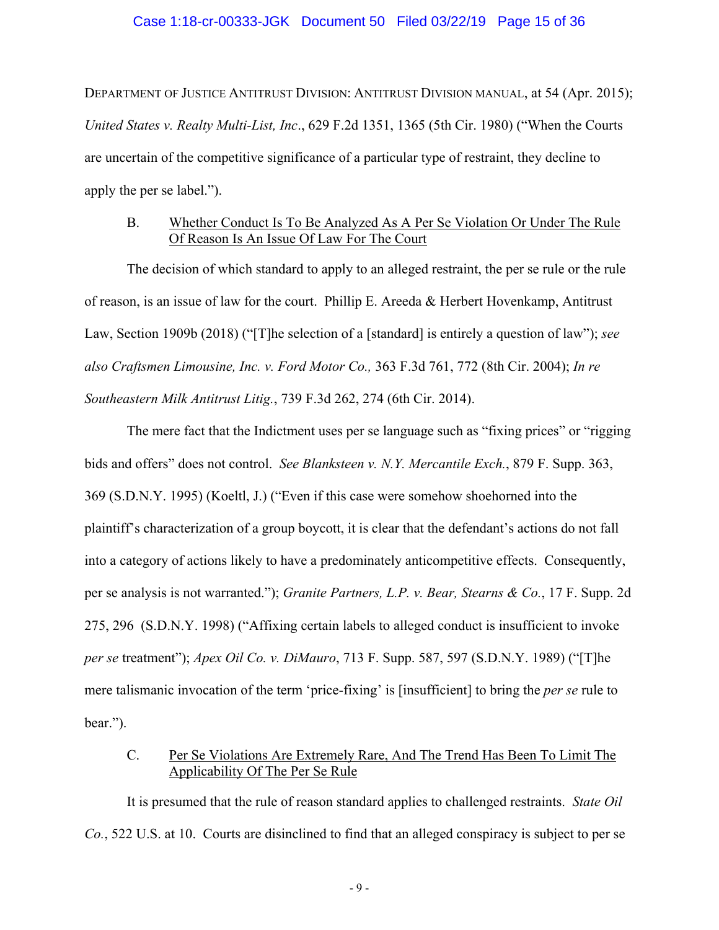### Case 1:18-cr-00333-JGK Document 50 Filed 03/22/19 Page 15 of 36

DEPARTMENT OF JUSTICE ANTITRUST DIVISION: ANTITRUST DIVISION MANUAL, at 54 (Apr. 2015); *United States v. Realty Multi-List, Inc*., 629 F.2d 1351, 1365 (5th Cir. 1980) ("When the Courts are uncertain of the competitive significance of a particular type of restraint, they decline to apply the per se label.").

## B. Whether Conduct Is To Be Analyzed As A Per Se Violation Or Under The Rule Of Reason Is An Issue Of Law For The Court

The decision of which standard to apply to an alleged restraint, the per se rule or the rule of reason, is an issue of law for the court. Phillip E. Areeda & Herbert Hovenkamp, Antitrust Law, Section 1909b (2018) ("[T]he selection of a [standard] is entirely a question of law"); *see also Craftsmen Limousine, Inc. v. Ford Motor Co.,* 363 F.3d 761, 772 (8th Cir. 2004); *In re Southeastern Milk Antitrust Litig.*, 739 F.3d 262, 274 (6th Cir. 2014).

The mere fact that the Indictment uses per se language such as "fixing prices" or "rigging bids and offers" does not control. *See Blanksteen v. N.Y. Mercantile Exch.*, 879 F. Supp. 363, 369 (S.D.N.Y. 1995) (Koeltl, J.) ("Even if this case were somehow shoehorned into the plaintiff's characterization of a group boycott, it is clear that the defendant's actions do not fall into a category of actions likely to have a predominately anticompetitive effects. Consequently, per se analysis is not warranted."); *Granite Partners, L.P. v. Bear, Stearns & Co.*, 17 F. Supp. 2d 275, 296 (S.D.N.Y. 1998) ("Affixing certain labels to alleged conduct is insufficient to invoke *per se* treatment"); *Apex Oil Co. v. DiMauro*, 713 F. Supp. 587, 597 (S.D.N.Y. 1989) ("[T]he mere talismanic invocation of the term 'price-fixing' is [insufficient] to bring the *per se* rule to bear.").

# C. Per Se Violations Are Extremely Rare, And The Trend Has Been To Limit The Applicability Of The Per Se Rule

It is presumed that the rule of reason standard applies to challenged restraints. *State Oil Co.*, 522 U.S. at 10. Courts are disinclined to find that an alleged conspiracy is subject to per se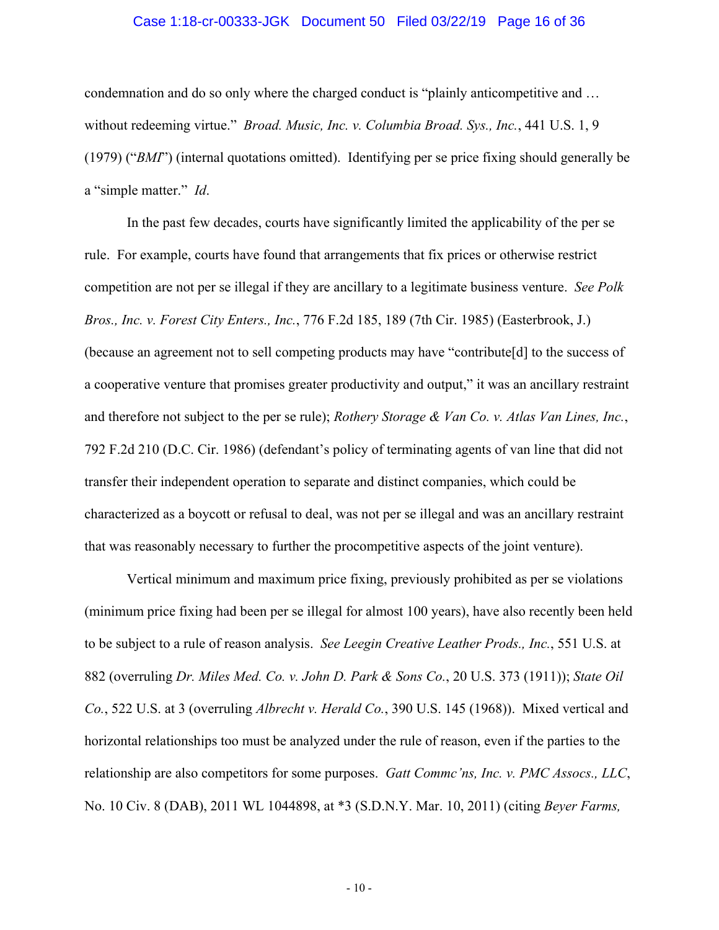## Case 1:18-cr-00333-JGK Document 50 Filed 03/22/19 Page 16 of 36

condemnation and do so only where the charged conduct is "plainly anticompetitive and … without redeeming virtue." *Broad. Music, Inc. v. Columbia Broad. Sys., Inc.*, 441 U.S. 1, 9 (1979) ("*BMI*") (internal quotations omitted). Identifying per se price fixing should generally be a "simple matter." *Id*.

In the past few decades, courts have significantly limited the applicability of the per se rule. For example, courts have found that arrangements that fix prices or otherwise restrict competition are not per se illegal if they are ancillary to a legitimate business venture. *See Polk Bros., Inc. v. Forest City Enters., Inc.*, 776 F.2d 185, 189 (7th Cir. 1985) (Easterbrook, J.) (because an agreement not to sell competing products may have "contribute[d] to the success of a cooperative venture that promises greater productivity and output," it was an ancillary restraint and therefore not subject to the per se rule); *Rothery Storage & Van Co. v. Atlas Van Lines, Inc.*, 792 F.2d 210 (D.C. Cir. 1986) (defendant's policy of terminating agents of van line that did not transfer their independent operation to separate and distinct companies, which could be characterized as a boycott or refusal to deal, was not per se illegal and was an ancillary restraint that was reasonably necessary to further the procompetitive aspects of the joint venture).

Vertical minimum and maximum price fixing, previously prohibited as per se violations (minimum price fixing had been per se illegal for almost 100 years), have also recently been held to be subject to a rule of reason analysis. *See Leegin Creative Leather Prods., Inc.*, 551 U.S. at 882 (overruling *Dr. Miles Med. Co. v. John D. Park & Sons Co.*, 20 U.S. 373 (1911)); *State Oil Co.*, 522 U.S. at 3 (overruling *Albrecht v. Herald Co.*, 390 U.S. 145 (1968)). Mixed vertical and horizontal relationships too must be analyzed under the rule of reason, even if the parties to the relationship are also competitors for some purposes. *Gatt Commc'ns, Inc. v. PMC Assocs., LLC*, No. 10 Civ. 8 (DAB), 2011 WL 1044898, at \*3 (S.D.N.Y. Mar. 10, 2011) (citing *Beyer Farms,*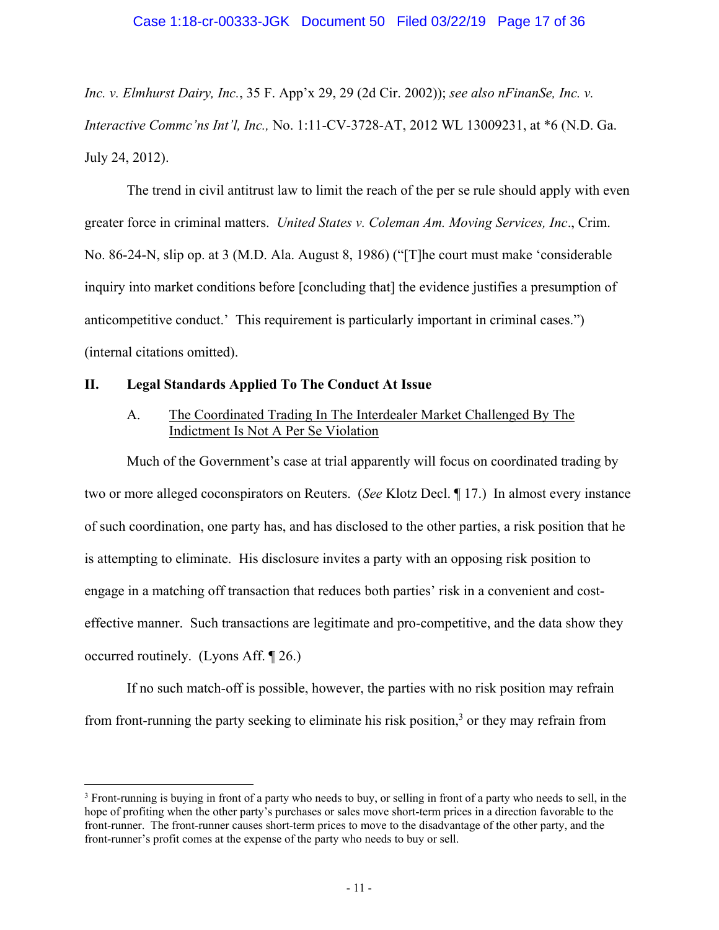*Inc. v. Elmhurst Dairy, Inc.*, 35 F. App'x 29, 29 (2d Cir. 2002)); *see also nFinanSe, Inc. v. Interactive Commc'ns Int'l, Inc.,* No. 1:11-CV-3728-AT, 2012 WL 13009231, at \*6 (N.D. Ga. July 24, 2012).

The trend in civil antitrust law to limit the reach of the per se rule should apply with even greater force in criminal matters. *United States v. Coleman Am. Moving Services, Inc*., Crim. No. 86-24-N, slip op. at 3 (M.D. Ala. August 8, 1986) ("[T]he court must make 'considerable inquiry into market conditions before [concluding that] the evidence justifies a presumption of anticompetitive conduct.' This requirement is particularly important in criminal cases.") (internal citations omitted).

## **II. Legal Standards Applied To The Conduct At Issue**

 $\overline{a}$ 

# A. The Coordinated Trading In The Interdealer Market Challenged By The Indictment Is Not A Per Se Violation

Much of the Government's case at trial apparently will focus on coordinated trading by two or more alleged coconspirators on Reuters. (*See* Klotz Decl. ¶ 17.) In almost every instance of such coordination, one party has, and has disclosed to the other parties, a risk position that he is attempting to eliminate. His disclosure invites a party with an opposing risk position to engage in a matching off transaction that reduces both parties' risk in a convenient and costeffective manner. Such transactions are legitimate and pro-competitive, and the data show they occurred routinely. (Lyons Aff. ¶ 26.)

If no such match-off is possible, however, the parties with no risk position may refrain from front-running the party seeking to eliminate his risk position,<sup>3</sup> or they may refrain from

<sup>&</sup>lt;sup>3</sup> Front-running is buying in front of a party who needs to buy, or selling in front of a party who needs to sell, in the hope of profiting when the other party's purchases or sales move short-term prices in a direction favorable to the front-runner. The front-runner causes short-term prices to move to the disadvantage of the other party, and the front-runner's profit comes at the expense of the party who needs to buy or sell.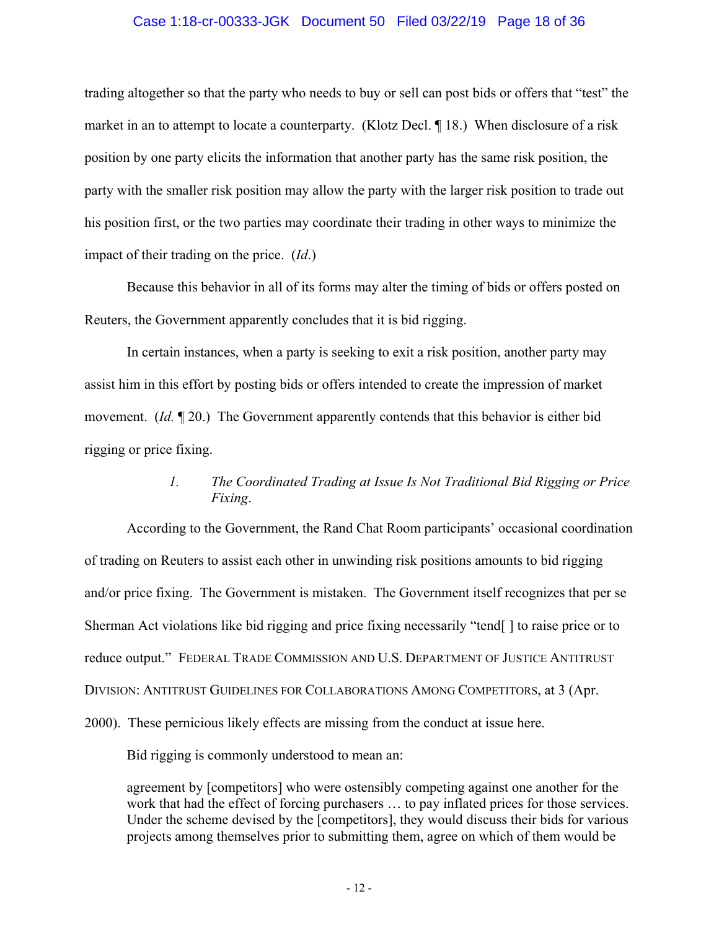## Case 1:18-cr-00333-JGK Document 50 Filed 03/22/19 Page 18 of 36

trading altogether so that the party who needs to buy or sell can post bids or offers that "test" the market in an to attempt to locate a counterparty. (Klotz Decl. ¶ 18.) When disclosure of a risk position by one party elicits the information that another party has the same risk position, the party with the smaller risk position may allow the party with the larger risk position to trade out his position first, or the two parties may coordinate their trading in other ways to minimize the impact of their trading on the price. (*Id*.)

Because this behavior in all of its forms may alter the timing of bids or offers posted on Reuters, the Government apparently concludes that it is bid rigging.

In certain instances, when a party is seeking to exit a risk position, another party may assist him in this effort by posting bids or offers intended to create the impression of market movement. (*Id.* **¶** 20.) The Government apparently contends that this behavior is either bid rigging or price fixing.

# *1. The Coordinated Trading at Issue Is Not Traditional Bid Rigging or Price Fixing*.

According to the Government, the Rand Chat Room participants' occasional coordination of trading on Reuters to assist each other in unwinding risk positions amounts to bid rigging and/or price fixing. The Government is mistaken. The Government itself recognizes that per se Sherman Act violations like bid rigging and price fixing necessarily "tend[ ] to raise price or to reduce output." FEDERAL TRADE COMMISSION AND U.S. DEPARTMENT OF JUSTICE ANTITRUST DIVISION: ANTITRUST GUIDELINES FOR COLLABORATIONS AMONG COMPETITORS, at 3 (Apr. 2000). These pernicious likely effects are missing from the conduct at issue here.

Bid rigging is commonly understood to mean an:

agreement by [competitors] who were ostensibly competing against one another for the work that had the effect of forcing purchasers … to pay inflated prices for those services. Under the scheme devised by the [competitors], they would discuss their bids for various projects among themselves prior to submitting them, agree on which of them would be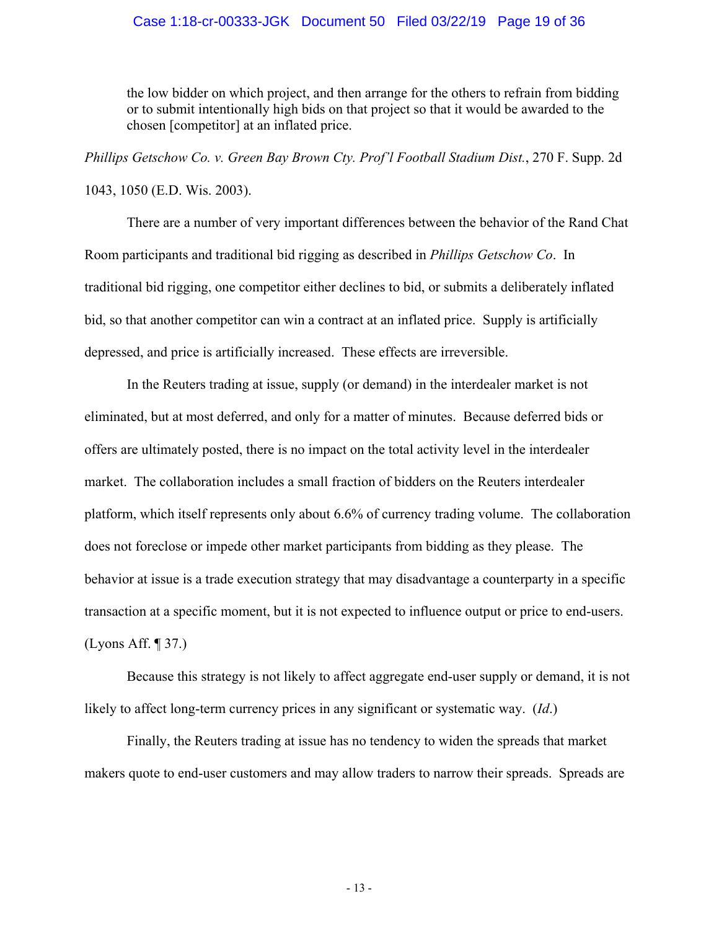## Case 1:18-cr-00333-JGK Document 50 Filed 03/22/19 Page 19 of 36

the low bidder on which project, and then arrange for the others to refrain from bidding or to submit intentionally high bids on that project so that it would be awarded to the chosen [competitor] at an inflated price.

*Phillips Getschow Co. v. Green Bay Brown Cty. Prof'l Football Stadium Dist.*, 270 F. Supp. 2d 1043, 1050 (E.D. Wis. 2003).

There are a number of very important differences between the behavior of the Rand Chat Room participants and traditional bid rigging as described in *Phillips Getschow Co*. In traditional bid rigging, one competitor either declines to bid, or submits a deliberately inflated bid, so that another competitor can win a contract at an inflated price. Supply is artificially depressed, and price is artificially increased. These effects are irreversible.

In the Reuters trading at issue, supply (or demand) in the interdealer market is not eliminated, but at most deferred, and only for a matter of minutes. Because deferred bids or offers are ultimately posted, there is no impact on the total activity level in the interdealer market. The collaboration includes a small fraction of bidders on the Reuters interdealer platform, which itself represents only about 6.6% of currency trading volume. The collaboration does not foreclose or impede other market participants from bidding as they please. The behavior at issue is a trade execution strategy that may disadvantage a counterparty in a specific transaction at a specific moment, but it is not expected to influence output or price to end-users. (Lyons Aff. ¶ 37.)

Because this strategy is not likely to affect aggregate end-user supply or demand, it is not likely to affect long-term currency prices in any significant or systematic way. (*Id*.)

Finally, the Reuters trading at issue has no tendency to widen the spreads that market makers quote to end-user customers and may allow traders to narrow their spreads. Spreads are

- 13 -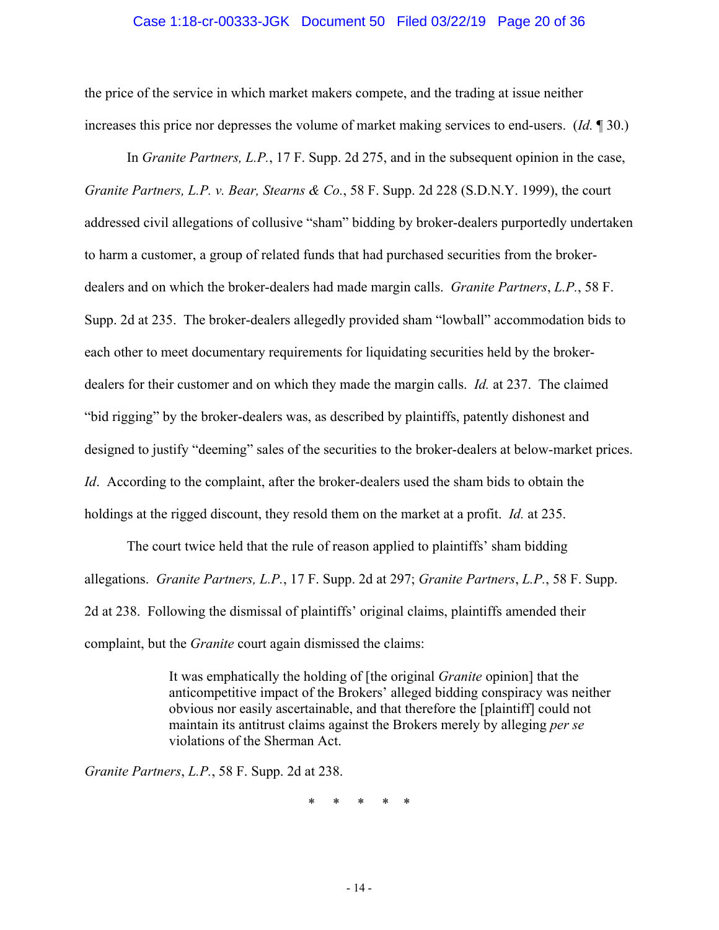## Case 1:18-cr-00333-JGK Document 50 Filed 03/22/19 Page 20 of 36

the price of the service in which market makers compete, and the trading at issue neither increases this price nor depresses the volume of market making services to end-users. (*Id.* ¶ 30.)

In *Granite Partners, L.P.*, 17 F. Supp. 2d 275, and in the subsequent opinion in the case, *Granite Partners, L.P. v. Bear, Stearns & Co.*, 58 F. Supp. 2d 228 (S.D.N.Y. 1999), the court addressed civil allegations of collusive "sham" bidding by broker-dealers purportedly undertaken to harm a customer, a group of related funds that had purchased securities from the brokerdealers and on which the broker-dealers had made margin calls. *Granite Partners*, *L.P.*, 58 F. Supp. 2d at 235. The broker-dealers allegedly provided sham "lowball" accommodation bids to each other to meet documentary requirements for liquidating securities held by the brokerdealers for their customer and on which they made the margin calls. *Id.* at 237. The claimed "bid rigging" by the broker-dealers was, as described by plaintiffs, patently dishonest and designed to justify "deeming" sales of the securities to the broker-dealers at below-market prices. *Id*. According to the complaint, after the broker-dealers used the sham bids to obtain the holdings at the rigged discount, they resold them on the market at a profit. *Id.* at 235.

The court twice held that the rule of reason applied to plaintiffs' sham bidding allegations. *Granite Partners, L.P.*, 17 F. Supp. 2d at 297; *Granite Partners*, *L.P.*, 58 F. Supp. 2d at 238. Following the dismissal of plaintiffs' original claims, plaintiffs amended their complaint, but the *Granite* court again dismissed the claims:

> It was emphatically the holding of [the original *Granite* opinion] that the anticompetitive impact of the Brokers' alleged bidding conspiracy was neither obvious nor easily ascertainable, and that therefore the [plaintiff] could not maintain its antitrust claims against the Brokers merely by alleging *per se*  violations of the Sherman Act.

*Granite Partners*, *L.P.*, 58 F. Supp. 2d at 238.

\* \* \* \* \*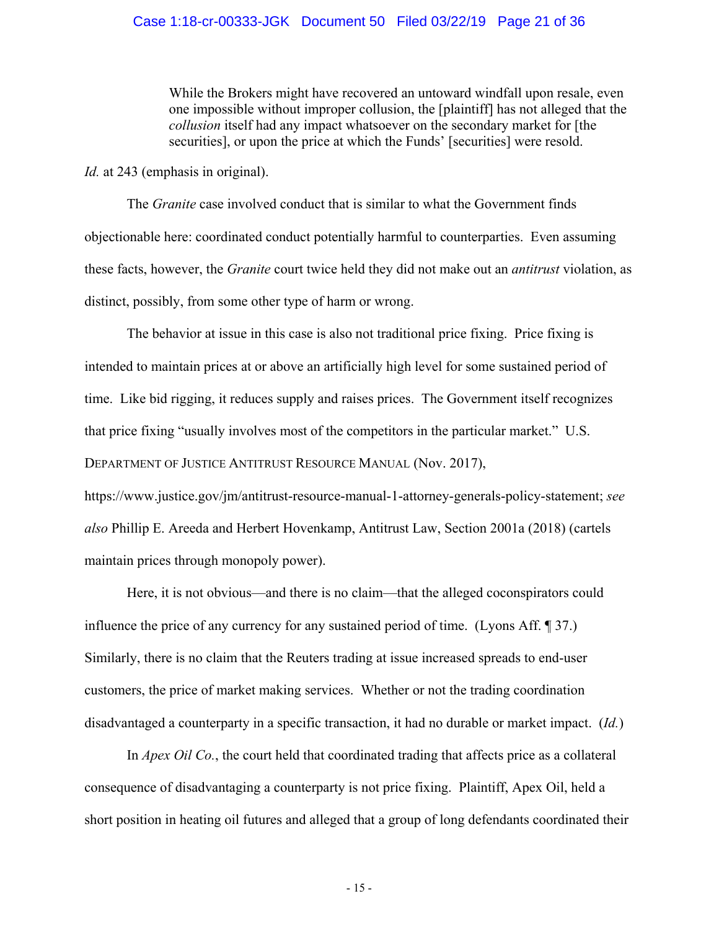While the Brokers might have recovered an untoward windfall upon resale, even one impossible without improper collusion, the [plaintiff] has not alleged that the *collusion* itself had any impact whatsoever on the secondary market for [the securities], or upon the price at which the Funds' [securities] were resold.

*Id.* at 243 (emphasis in original).

The *Granite* case involved conduct that is similar to what the Government finds objectionable here: coordinated conduct potentially harmful to counterparties. Even assuming these facts, however, the *Granite* court twice held they did not make out an *antitrust* violation, as distinct, possibly, from some other type of harm or wrong.

The behavior at issue in this case is also not traditional price fixing. Price fixing is intended to maintain prices at or above an artificially high level for some sustained period of time. Like bid rigging, it reduces supply and raises prices. The Government itself recognizes that price fixing "usually involves most of the competitors in the particular market." U.S. DEPARTMENT OF JUSTICE ANTITRUST RESOURCE MANUAL (Nov. 2017),

https://www.justice.gov/jm/antitrust-resource-manual-1-attorney-generals-policy-statement; *see also* Phillip E. Areeda and Herbert Hovenkamp, Antitrust Law, Section 2001a (2018) (cartels maintain prices through monopoly power).

Here, it is not obvious—and there is no claim—that the alleged coconspirators could influence the price of any currency for any sustained period of time. (Lyons Aff. ¶ 37.) Similarly, there is no claim that the Reuters trading at issue increased spreads to end-user customers, the price of market making services. Whether or not the trading coordination disadvantaged a counterparty in a specific transaction, it had no durable or market impact. (*Id.*)

In *Apex Oil Co.*, the court held that coordinated trading that affects price as a collateral consequence of disadvantaging a counterparty is not price fixing. Plaintiff, Apex Oil, held a short position in heating oil futures and alleged that a group of long defendants coordinated their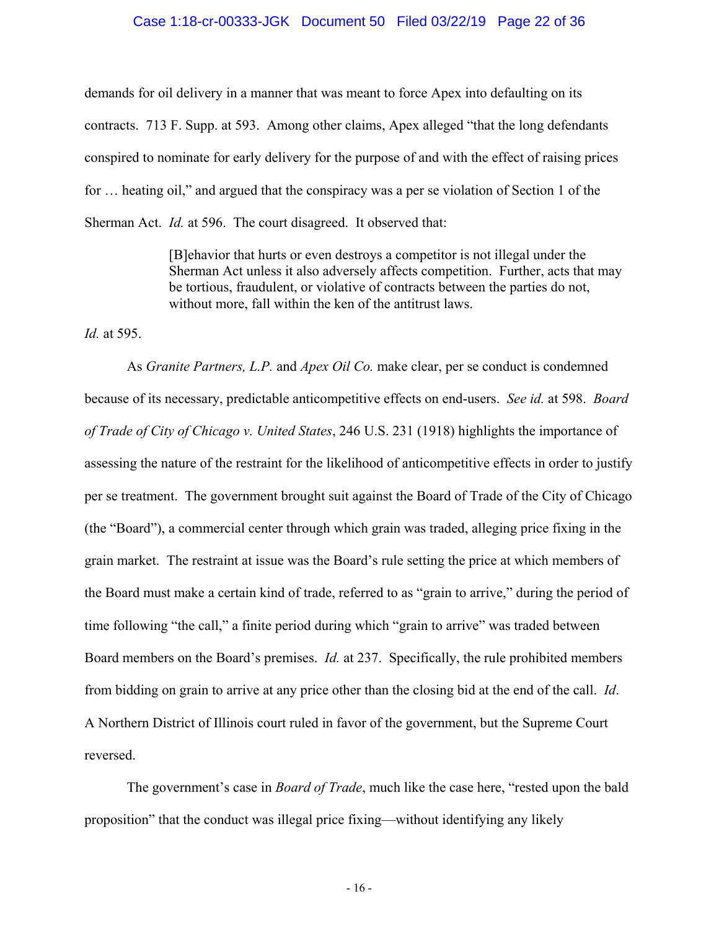## Case 1:18-cr-00333-JGK Document 50 Filed 03/22/19 Page 22 of 36

demands for oil delivery in a manner that was meant to force Apex into defaulting on its contracts. 713 F. Supp. at 593. Among other claims, Apex alleged "that the long defendants conspired to nominate for early delivery for the purpose of and with the effect of raising prices for … heating oil," and argued that the conspiracy was a per se violation of Section 1 of the Sherman Act. *Id.* at 596. The court disagreed. It observed that:

> [B]ehavior that hurts or even destroys a competitor is not illegal under the Sherman Act unless it also adversely affects competition. Further, acts that may be tortious, fraudulent, or violative of contracts between the parties do not, without more, fall within the ken of the antitrust laws.

*Id.* at 595.

As *Granite Partners, L.P.* and *Apex Oil Co.* make clear, per se conduct is condemned because of its necessary, predictable anticompetitive effects on end-users. *See id.* at 598. *Board of Trade of City of Chicago v. United States*, 246 U.S. 231 (1918) highlights the importance of assessing the nature of the restraint for the likelihood of anticompetitive effects in order to justify per se treatment. The government brought suit against the Board of Trade of the City of Chicago (the "Board"), a commercial center through which grain was traded, alleging price fixing in the grain market. The restraint at issue was the Board's rule setting the price at which members of the Board must make a certain kind of trade, referred to as "grain to arrive," during the period of time following "the call," a finite period during which "grain to arrive" was traded between Board members on the Board's premises. *Id.* at 237. Specifically, the rule prohibited members from bidding on grain to arrive at any price other than the closing bid at the end of the call. *Id*. A Northern District of Illinois court ruled in favor of the government, but the Supreme Court reversed.

The government's case in *Board of Trade*, much like the case here, "rested upon the bald proposition" that the conduct was illegal price fixing—without identifying any likely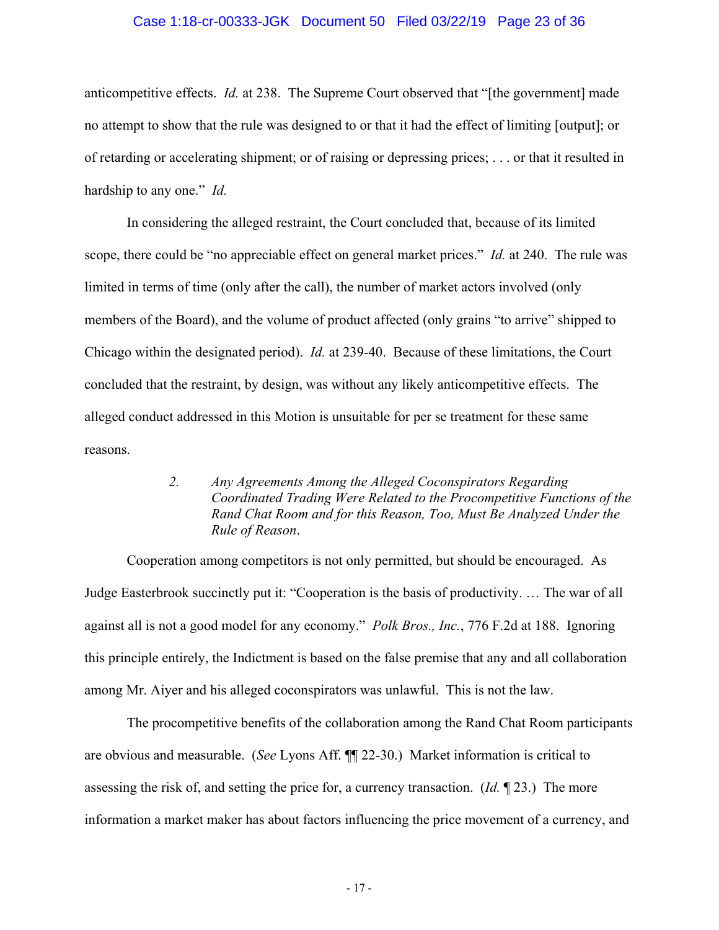## Case 1:18-cr-00333-JGK Document 50 Filed 03/22/19 Page 23 of 36

anticompetitive effects. *Id.* at 238. The Supreme Court observed that "[the government] made no attempt to show that the rule was designed to or that it had the effect of limiting [output]; or of retarding or accelerating shipment; or of raising or depressing prices; . . . or that it resulted in hardship to any one." *Id.*

In considering the alleged restraint, the Court concluded that, because of its limited scope, there could be "no appreciable effect on general market prices." *Id.* at 240. The rule was limited in terms of time (only after the call), the number of market actors involved (only members of the Board), and the volume of product affected (only grains "to arrive" shipped to Chicago within the designated period). *Id.* at 239-40. Because of these limitations, the Court concluded that the restraint, by design, was without any likely anticompetitive effects. The alleged conduct addressed in this Motion is unsuitable for per se treatment for these same reasons.

# *2. Any Agreements Among the Alleged Coconspirators Regarding Coordinated Trading Were Related to the Procompetitive Functions of the Rand Chat Room and for this Reason, Too, Must Be Analyzed Under the Rule of Reason*.

Cooperation among competitors is not only permitted, but should be encouraged. As Judge Easterbrook succinctly put it: "Cooperation is the basis of productivity. … The war of all against all is not a good model for any economy." *Polk Bros., Inc.*, 776 F.2d at 188. Ignoring this principle entirely, the Indictment is based on the false premise that any and all collaboration among Mr. Aiyer and his alleged coconspirators was unlawful. This is not the law.

The procompetitive benefits of the collaboration among the Rand Chat Room participants are obvious and measurable. (*See* Lyons Aff. ¶¶ 22-30.) Market information is critical to assessing the risk of, and setting the price for, a currency transaction. (*Id.* ¶ 23.) The more information a market maker has about factors influencing the price movement of a currency, and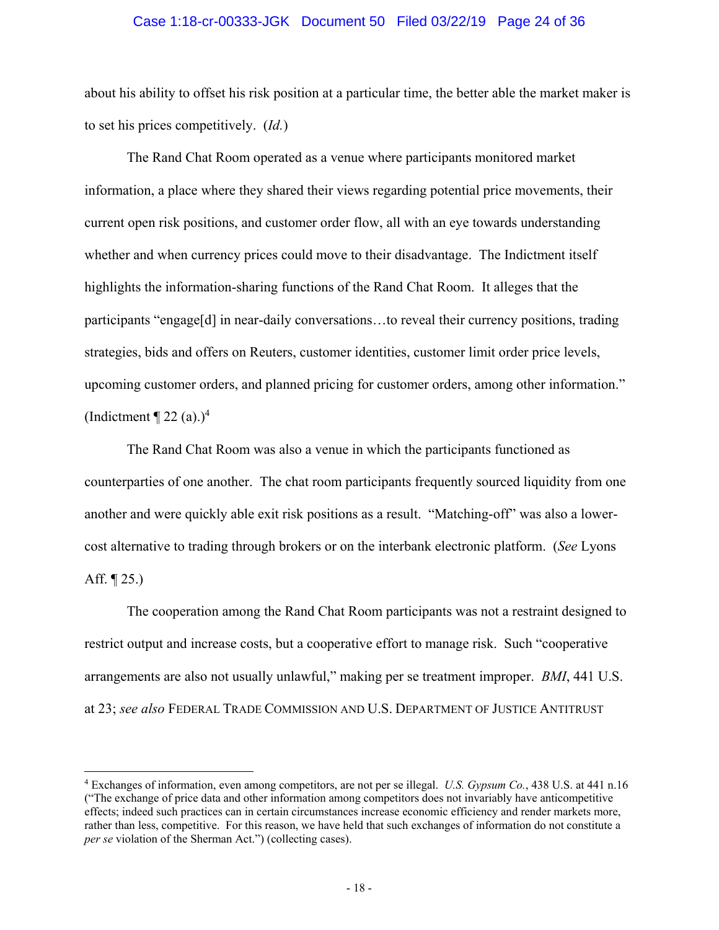### Case 1:18-cr-00333-JGK Document 50 Filed 03/22/19 Page 24 of 36

about his ability to offset his risk position at a particular time, the better able the market maker is to set his prices competitively. (*Id.*)

The Rand Chat Room operated as a venue where participants monitored market information, a place where they shared their views regarding potential price movements, their current open risk positions, and customer order flow, all with an eye towards understanding whether and when currency prices could move to their disadvantage. The Indictment itself highlights the information-sharing functions of the Rand Chat Room. It alleges that the participants "engage[d] in near-daily conversations…to reveal their currency positions, trading strategies, bids and offers on Reuters, customer identities, customer limit order price levels, upcoming customer orders, and planned pricing for customer orders, among other information." (Indictment  $\P$  22 (a).)<sup>4</sup>

The Rand Chat Room was also a venue in which the participants functioned as counterparties of one another. The chat room participants frequently sourced liquidity from one another and were quickly able exit risk positions as a result. "Matching-off" was also a lowercost alternative to trading through brokers or on the interbank electronic platform. (*See* Lyons Aff.  $\P$  25.)

The cooperation among the Rand Chat Room participants was not a restraint designed to restrict output and increase costs, but a cooperative effort to manage risk. Such "cooperative arrangements are also not usually unlawful," making per se treatment improper. *BMI*, 441 U.S. at 23; *see also* FEDERAL TRADE COMMISSION AND U.S. DEPARTMENT OF JUSTICE ANTITRUST

 $\overline{a}$ 

<sup>4</sup> Exchanges of information, even among competitors, are not per se illegal. *U.S. Gypsum Co.*, 438 U.S. at 441 n.16 ("The exchange of price data and other information among competitors does not invariably have anticompetitive effects; indeed such practices can in certain circumstances increase economic efficiency and render markets more, rather than less, competitive. For this reason, we have held that such exchanges of information do not constitute a *per se* violation of the Sherman Act.") (collecting cases).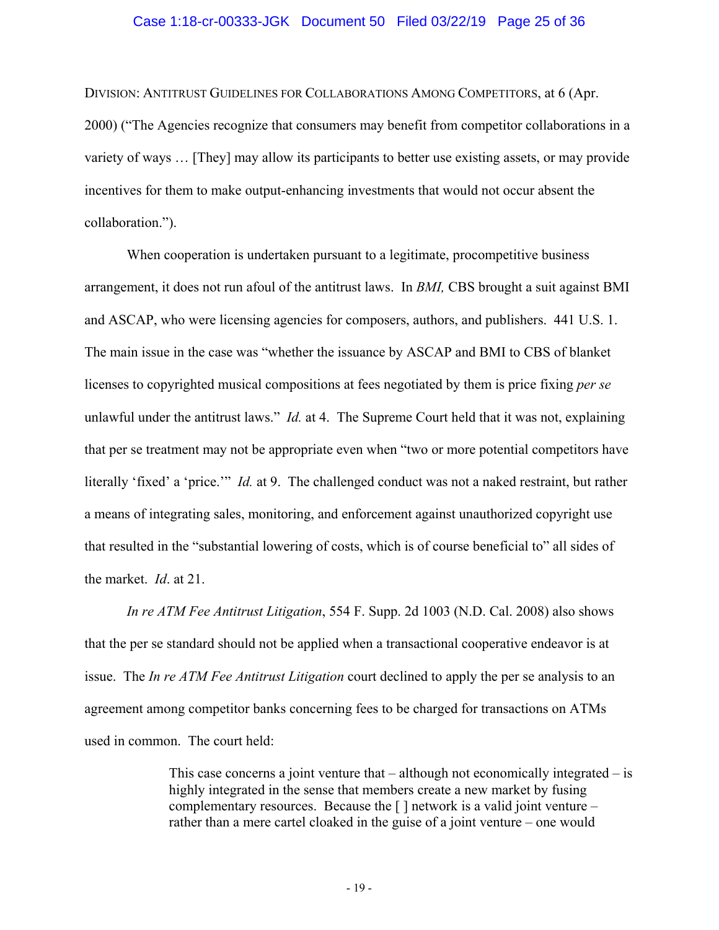## Case 1:18-cr-00333-JGK Document 50 Filed 03/22/19 Page 25 of 36

DIVISION: ANTITRUST GUIDELINES FOR COLLABORATIONS AMONG COMPETITORS, at 6 (Apr. 2000) ("The Agencies recognize that consumers may benefit from competitor collaborations in a variety of ways … [They] may allow its participants to better use existing assets, or may provide incentives for them to make output-enhancing investments that would not occur absent the collaboration.").

When cooperation is undertaken pursuant to a legitimate, procompetitive business arrangement, it does not run afoul of the antitrust laws. In *BMI,* CBS brought a suit against BMI and ASCAP, who were licensing agencies for composers, authors, and publishers. 441 U.S. 1. The main issue in the case was "whether the issuance by ASCAP and BMI to CBS of blanket licenses to copyrighted musical compositions at fees negotiated by them is price fixing *per se* unlawful under the antitrust laws." *Id.* at 4. The Supreme Court held that it was not, explaining that per se treatment may not be appropriate even when "two or more potential competitors have literally 'fixed' a 'price.'" *Id.* at 9. The challenged conduct was not a naked restraint, but rather a means of integrating sales, monitoring, and enforcement against unauthorized copyright use that resulted in the "substantial lowering of costs, which is of course beneficial to" all sides of the market. *Id*. at 21.

*In re ATM Fee Antitrust Litigation*, 554 F. Supp. 2d 1003 (N.D. Cal. 2008) also shows that the per se standard should not be applied when a transactional cooperative endeavor is at issue. The *In re ATM Fee Antitrust Litigation* court declined to apply the per se analysis to an agreement among competitor banks concerning fees to be charged for transactions on ATMs used in common. The court held:

> This case concerns a joint venture that – although not economically integrated – is highly integrated in the sense that members create a new market by fusing complementary resources. Because the  $\lceil \cdot \rceil$  network is a valid joint venture – rather than a mere cartel cloaked in the guise of a joint venture – one would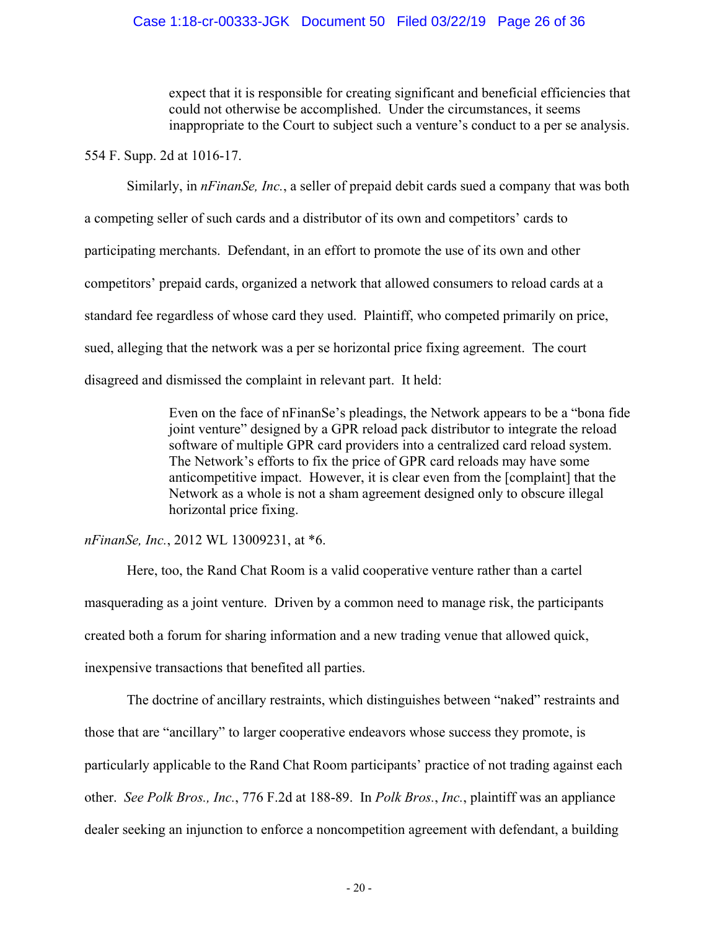## Case 1:18-cr-00333-JGK Document 50 Filed 03/22/19 Page 26 of 36

expect that it is responsible for creating significant and beneficial efficiencies that could not otherwise be accomplished. Under the circumstances, it seems inappropriate to the Court to subject such a venture's conduct to a per se analysis.

554 F. Supp. 2d at 1016-17.

Similarly, in *nFinanSe, Inc.*, a seller of prepaid debit cards sued a company that was both a competing seller of such cards and a distributor of its own and competitors' cards to participating merchants. Defendant, in an effort to promote the use of its own and other competitors' prepaid cards, organized a network that allowed consumers to reload cards at a standard fee regardless of whose card they used. Plaintiff, who competed primarily on price, sued, alleging that the network was a per se horizontal price fixing agreement. The court disagreed and dismissed the complaint in relevant part. It held:

> Even on the face of nFinanSe's pleadings, the Network appears to be a "bona fide joint venture" designed by a GPR reload pack distributor to integrate the reload software of multiple GPR card providers into a centralized card reload system. The Network's efforts to fix the price of GPR card reloads may have some anticompetitive impact. However, it is clear even from the [complaint] that the Network as a whole is not a sham agreement designed only to obscure illegal horizontal price fixing.

*nFinanSe, Inc.*, 2012 WL 13009231, at \*6.

Here, too, the Rand Chat Room is a valid cooperative venture rather than a cartel masquerading as a joint venture. Driven by a common need to manage risk, the participants created both a forum for sharing information and a new trading venue that allowed quick, inexpensive transactions that benefited all parties.

The doctrine of ancillary restraints, which distinguishes between "naked" restraints and those that are "ancillary" to larger cooperative endeavors whose success they promote, is particularly applicable to the Rand Chat Room participants' practice of not trading against each other. *See Polk Bros., Inc.*, 776 F.2d at 188-89. In *Polk Bros.*, *Inc.*, plaintiff was an appliance dealer seeking an injunction to enforce a noncompetition agreement with defendant, a building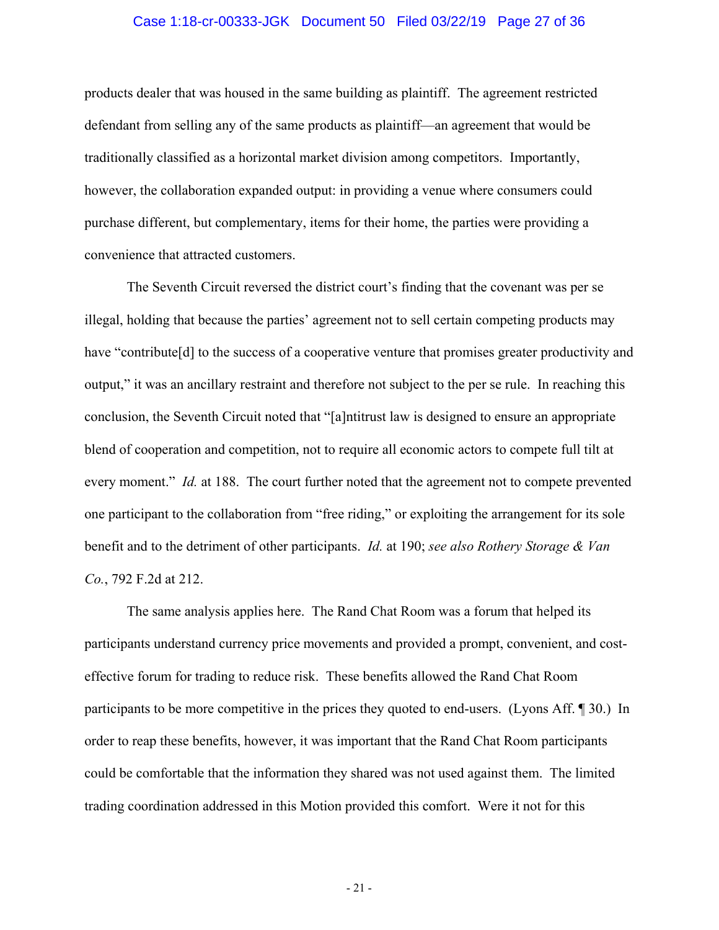## Case 1:18-cr-00333-JGK Document 50 Filed 03/22/19 Page 27 of 36

products dealer that was housed in the same building as plaintiff. The agreement restricted defendant from selling any of the same products as plaintiff—an agreement that would be traditionally classified as a horizontal market division among competitors. Importantly, however, the collaboration expanded output: in providing a venue where consumers could purchase different, but complementary, items for their home, the parties were providing a convenience that attracted customers.

The Seventh Circuit reversed the district court's finding that the covenant was per se illegal, holding that because the parties' agreement not to sell certain competing products may have "contribute<sup>[d]</sup> to the success of a cooperative venture that promises greater productivity and output," it was an ancillary restraint and therefore not subject to the per se rule. In reaching this conclusion, the Seventh Circuit noted that "[a]ntitrust law is designed to ensure an appropriate blend of cooperation and competition, not to require all economic actors to compete full tilt at every moment." *Id.* at 188. The court further noted that the agreement not to compete prevented one participant to the collaboration from "free riding," or exploiting the arrangement for its sole benefit and to the detriment of other participants. *Id.* at 190; *see also Rothery Storage & Van Co.*, 792 F.2d at 212.

The same analysis applies here. The Rand Chat Room was a forum that helped its participants understand currency price movements and provided a prompt, convenient, and costeffective forum for trading to reduce risk. These benefits allowed the Rand Chat Room participants to be more competitive in the prices they quoted to end-users. (Lyons Aff. ¶ 30.) In order to reap these benefits, however, it was important that the Rand Chat Room participants could be comfortable that the information they shared was not used against them. The limited trading coordination addressed in this Motion provided this comfort. Were it not for this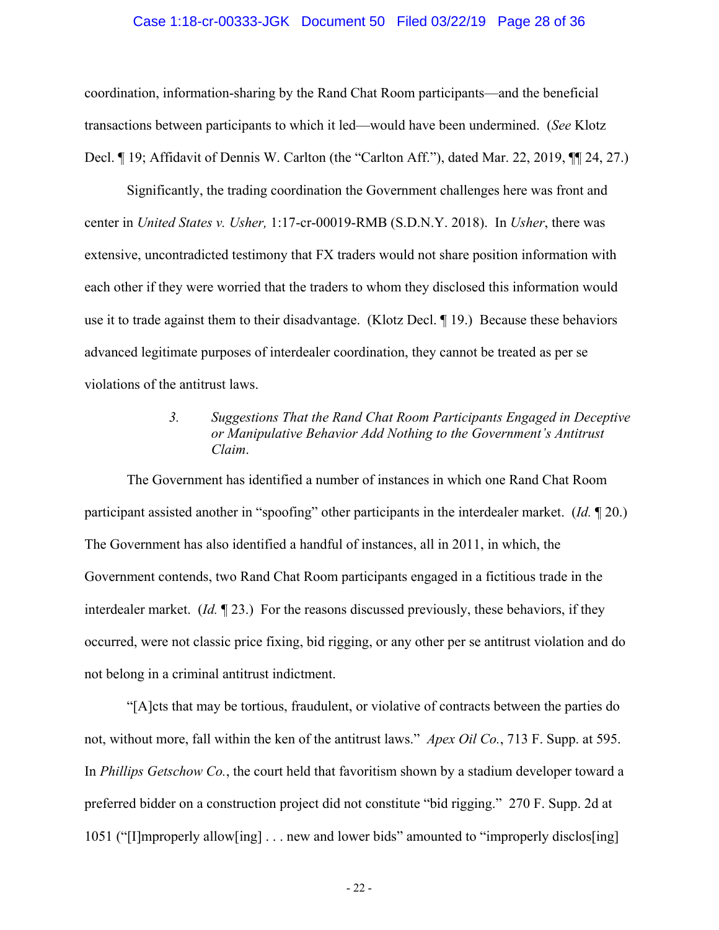## Case 1:18-cr-00333-JGK Document 50 Filed 03/22/19 Page 28 of 36

coordination, information-sharing by the Rand Chat Room participants—and the beneficial transactions between participants to which it led—would have been undermined. (*See* Klotz Decl. ¶ 19; Affidavit of Dennis W. Carlton (the "Carlton Aff."), dated Mar. 22, 2019, ¶¶ 24, 27.)

Significantly, the trading coordination the Government challenges here was front and center in *United States v. Usher,* 1:17-cr-00019-RMB (S.D.N.Y. 2018). In *Usher*, there was extensive, uncontradicted testimony that FX traders would not share position information with each other if they were worried that the traders to whom they disclosed this information would use it to trade against them to their disadvantage. (Klotz Decl. ¶ 19.) Because these behaviors advanced legitimate purposes of interdealer coordination, they cannot be treated as per se violations of the antitrust laws.

# *3. Suggestions That the Rand Chat Room Participants Engaged in Deceptive or Manipulative Behavior Add Nothing to the Government's Antitrust Claim*.

The Government has identified a number of instances in which one Rand Chat Room participant assisted another in "spoofing" other participants in the interdealer market. (*Id.* ¶ 20.) The Government has also identified a handful of instances, all in 2011, in which, the Government contends, two Rand Chat Room participants engaged in a fictitious trade in the interdealer market. (*Id.* ¶ 23.) For the reasons discussed previously, these behaviors, if they occurred, were not classic price fixing, bid rigging, or any other per se antitrust violation and do not belong in a criminal antitrust indictment.

"[A]cts that may be tortious, fraudulent, or violative of contracts between the parties do not, without more, fall within the ken of the antitrust laws." *Apex Oil Co.*, 713 F. Supp. at 595. In *Phillips Getschow Co.*, the court held that favoritism shown by a stadium developer toward a preferred bidder on a construction project did not constitute "bid rigging." 270 F. Supp. 2d at 1051 ("[I]mproperly allow[ing] . . . new and lower bids" amounted to "improperly disclos[ing]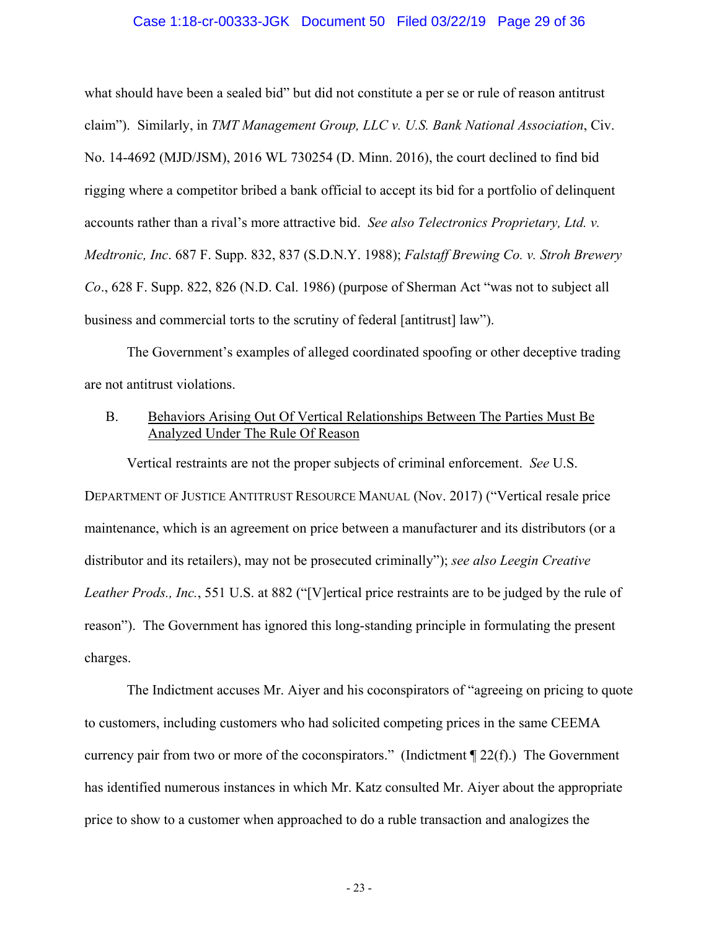## Case 1:18-cr-00333-JGK Document 50 Filed 03/22/19 Page 29 of 36

what should have been a sealed bid" but did not constitute a per se or rule of reason antitrust claim"). Similarly, in *TMT Management Group, LLC v. U.S. Bank National Association*, Civ. No. 14-4692 (MJD/JSM), 2016 WL 730254 (D. Minn. 2016), the court declined to find bid rigging where a competitor bribed a bank official to accept its bid for a portfolio of delinquent accounts rather than a rival's more attractive bid. *See also Telectronics Proprietary, Ltd. v. Medtronic, Inc*. 687 F. Supp. 832, 837 (S.D.N.Y. 1988); *Falstaff Brewing Co. v. Stroh Brewery Co*., 628 F. Supp. 822, 826 (N.D. Cal. 1986) (purpose of Sherman Act "was not to subject all business and commercial torts to the scrutiny of federal [antitrust] law").

The Government's examples of alleged coordinated spoofing or other deceptive trading are not antitrust violations.

## B. Behaviors Arising Out Of Vertical Relationships Between The Parties Must Be Analyzed Under The Rule Of Reason

Vertical restraints are not the proper subjects of criminal enforcement. *See* U.S. DEPARTMENT OF JUSTICE ANTITRUST RESOURCE MANUAL (Nov. 2017) ("Vertical resale price maintenance, which is an agreement on price between a manufacturer and its distributors (or a distributor and its retailers), may not be prosecuted criminally"); *see also Leegin Creative Leather Prods., Inc.*, 551 U.S. at 882 ("[V]ertical price restraints are to be judged by the rule of reason"). The Government has ignored this long-standing principle in formulating the present charges.

The Indictment accuses Mr. Aiyer and his coconspirators of "agreeing on pricing to quote to customers, including customers who had solicited competing prices in the same CEEMA currency pair from two or more of the coconspirators." (Indictment ¶ 22(f).) The Government has identified numerous instances in which Mr. Katz consulted Mr. Aiyer about the appropriate price to show to a customer when approached to do a ruble transaction and analogizes the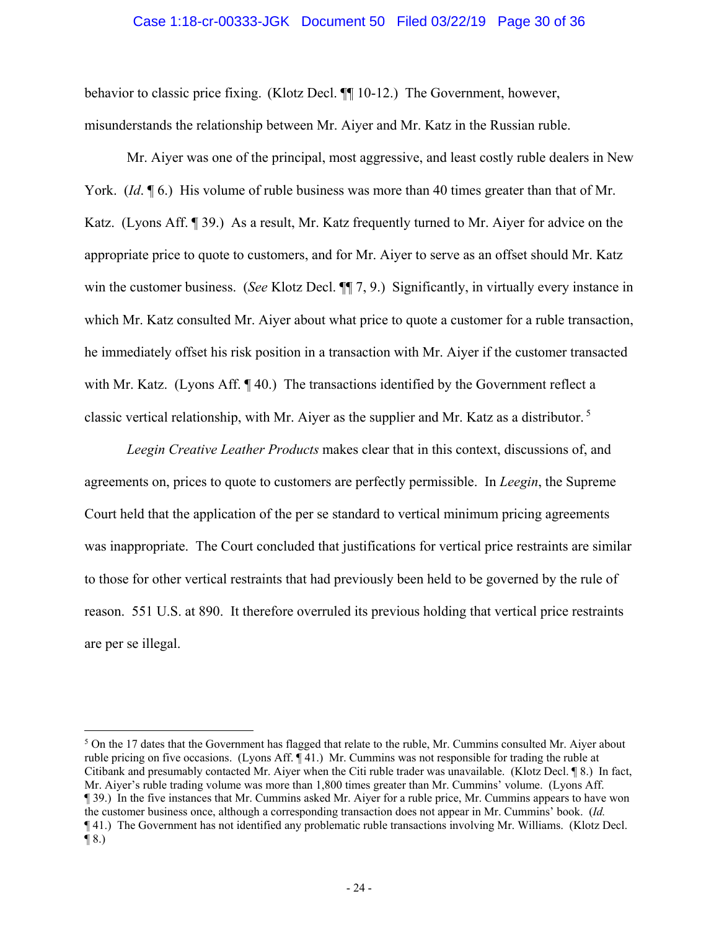#### Case 1:18-cr-00333-JGK Document 50 Filed 03/22/19 Page 30 of 36

behavior to classic price fixing. (Klotz Decl. ¶¶ 10-12.) The Government, however, misunderstands the relationship between Mr. Aiyer and Mr. Katz in the Russian ruble.

Mr. Aiyer was one of the principal, most aggressive, and least costly ruble dealers in New York. (*Id*. 16.) His volume of ruble business was more than 40 times greater than that of Mr. Katz. (Lyons Aff. ¶ 39.) As a result, Mr. Katz frequently turned to Mr. Aiyer for advice on the appropriate price to quote to customers, and for Mr. Aiyer to serve as an offset should Mr. Katz win the customer business. (*See* Klotz Decl. ¶¶ 7, 9.) Significantly, in virtually every instance in which Mr. Katz consulted Mr. Aiyer about what price to quote a customer for a ruble transaction, he immediately offset his risk position in a transaction with Mr. Aiyer if the customer transacted with Mr. Katz. (Lyons Aff. ¶40.) The transactions identified by the Government reflect a classic vertical relationship, with Mr. Aiyer as the supplier and Mr. Katz as a distributor. 5

*Leegin Creative Leather Products* makes clear that in this context, discussions of, and agreements on, prices to quote to customers are perfectly permissible. In *Leegin*, the Supreme Court held that the application of the per se standard to vertical minimum pricing agreements was inappropriate. The Court concluded that justifications for vertical price restraints are similar to those for other vertical restraints that had previously been held to be governed by the rule of reason. 551 U.S. at 890. It therefore overruled its previous holding that vertical price restraints are per se illegal.

 $\overline{a}$ 

 $5$  On the 17 dates that the Government has flagged that relate to the ruble, Mr. Cummins consulted Mr. Aiyer about ruble pricing on five occasions. (Lyons Aff. ¶ 41.) Mr. Cummins was not responsible for trading the ruble at Citibank and presumably contacted Mr. Aiyer when the Citi ruble trader was unavailable. (Klotz Decl. ¶ 8.) In fact, Mr. Aiyer's ruble trading volume was more than 1,800 times greater than Mr. Cummins' volume. (Lyons Aff. ¶ 39.) In the five instances that Mr. Cummins asked Mr. Aiyer for a ruble price, Mr. Cummins appears to have won the customer business once, although a corresponding transaction does not appear in Mr. Cummins' book. (*Id.* ¶ 41.) The Government has not identified any problematic ruble transactions involving Mr. Williams. (Klotz Decl.  $\P(8.)$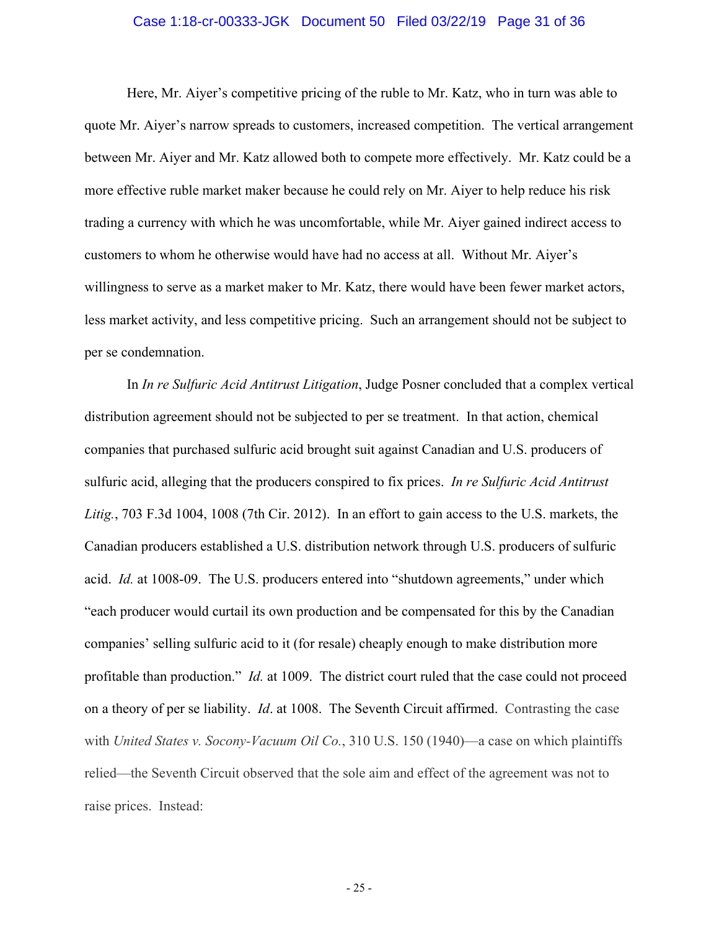## Case 1:18-cr-00333-JGK Document 50 Filed 03/22/19 Page 31 of 36

Here, Mr. Aiyer's competitive pricing of the ruble to Mr. Katz, who in turn was able to quote Mr. Aiyer's narrow spreads to customers, increased competition. The vertical arrangement between Mr. Aiyer and Mr. Katz allowed both to compete more effectively. Mr. Katz could be a more effective ruble market maker because he could rely on Mr. Aiyer to help reduce his risk trading a currency with which he was uncomfortable, while Mr. Aiyer gained indirect access to customers to whom he otherwise would have had no access at all. Without Mr. Aiyer's willingness to serve as a market maker to Mr. Katz, there would have been fewer market actors, less market activity, and less competitive pricing. Such an arrangement should not be subject to per se condemnation.

In *In re Sulfuric Acid Antitrust Litigation*, Judge Posner concluded that a complex vertical distribution agreement should not be subjected to per se treatment. In that action, chemical companies that purchased sulfuric acid brought suit against Canadian and U.S. producers of sulfuric acid, alleging that the producers conspired to fix prices. *In re Sulfuric Acid Antitrust Litig.*, 703 F.3d 1004, 1008 (7th Cir. 2012). In an effort to gain access to the U.S. markets, the Canadian producers established a U.S. distribution network through U.S. producers of sulfuric acid. *Id.* at 1008-09. The U.S. producers entered into "shutdown agreements," under which "each producer would curtail its own production and be compensated for this by the Canadian companies' selling sulfuric acid to it (for resale) cheaply enough to make distribution more profitable than production." *Id.* at 1009. The district court ruled that the case could not proceed on a theory of per se liability. *Id*. at 1008. The Seventh Circuit affirmed. Contrasting the case with *United States v. Socony-Vacuum Oil Co.*, 310 U.S. 150 (1940)—a case on which plaintiffs relied—the Seventh Circuit observed that the sole aim and effect of the agreement was not to raise prices. Instead: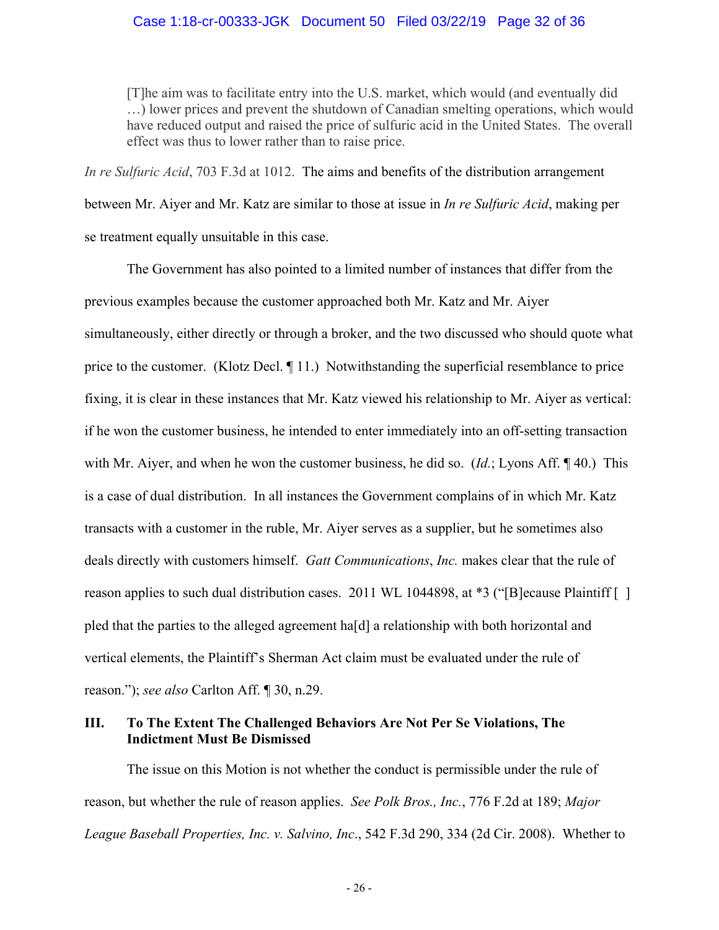[T]he aim was to facilitate entry into the U.S. market, which would (and eventually did …) lower prices and prevent the shutdown of Canadian smelting operations, which would have reduced output and raised the price of sulfuric acid in the United States. The overall effect was thus to lower rather than to raise price.

*In re Sulfuric Acid*, 703 F.3d at 1012. The aims and benefits of the distribution arrangement between Mr. Aiyer and Mr. Katz are similar to those at issue in *In re Sulfuric Acid*, making per se treatment equally unsuitable in this case.

The Government has also pointed to a limited number of instances that differ from the previous examples because the customer approached both Mr. Katz and Mr. Aiyer simultaneously, either directly or through a broker, and the two discussed who should quote what price to the customer. (Klotz Decl. ¶ 11.) Notwithstanding the superficial resemblance to price fixing, it is clear in these instances that Mr. Katz viewed his relationship to Mr. Aiyer as vertical: if he won the customer business, he intended to enter immediately into an off-setting transaction with Mr. Aiyer, and when he won the customer business, he did so. (*Id.*; Lyons Aff. ¶ 40.) This is a case of dual distribution. In all instances the Government complains of in which Mr. Katz transacts with a customer in the ruble, Mr. Aiyer serves as a supplier, but he sometimes also deals directly with customers himself. *Gatt Communications*, *Inc.* makes clear that the rule of reason applies to such dual distribution cases. 2011 WL 1044898, at \*3 ("[B] ecause Plaintiff [] pled that the parties to the alleged agreement ha[d] a relationship with both horizontal and vertical elements, the Plaintiff's Sherman Act claim must be evaluated under the rule of reason."); *see also* Carlton Aff. ¶ 30, n.29.

# **III. To The Extent The Challenged Behaviors Are Not Per Se Violations, The Indictment Must Be Dismissed**

The issue on this Motion is not whether the conduct is permissible under the rule of reason, but whether the rule of reason applies. *See Polk Bros., Inc.*, 776 F.2d at 189; *Major League Baseball Properties, Inc. v. Salvino, Inc*., 542 F.3d 290, 334 (2d Cir. 2008). Whether to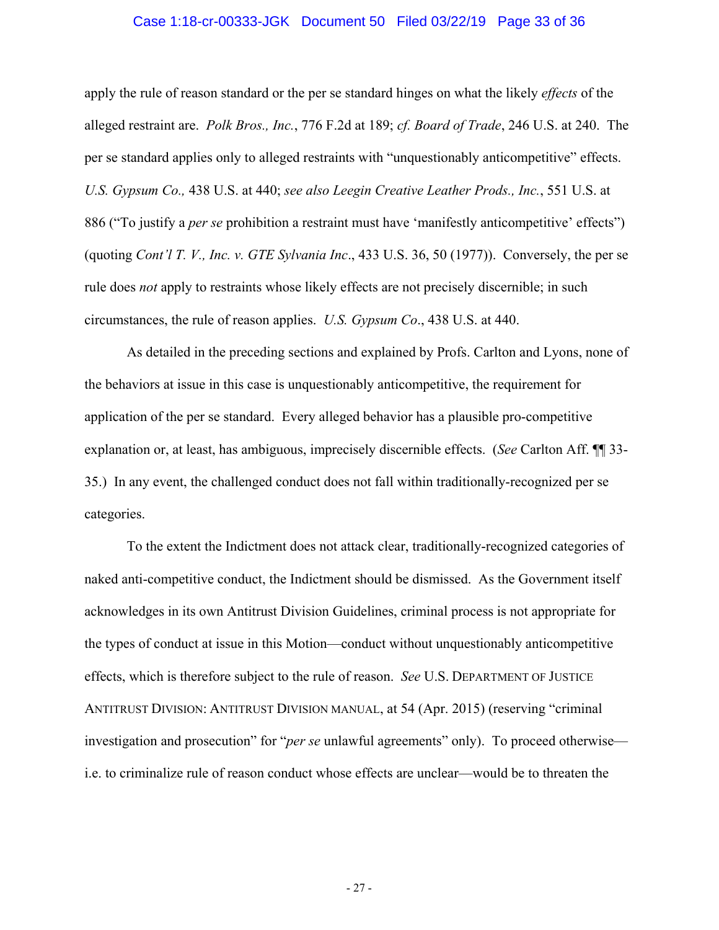## Case 1:18-cr-00333-JGK Document 50 Filed 03/22/19 Page 33 of 36

apply the rule of reason standard or the per se standard hinges on what the likely *effects* of the alleged restraint are. *Polk Bros., Inc.*, 776 F.2d at 189; *cf. Board of Trade*, 246 U.S. at 240. The per se standard applies only to alleged restraints with "unquestionably anticompetitive" effects. *U.S. Gypsum Co.,* 438 U.S. at 440; *see also Leegin Creative Leather Prods., Inc.*, 551 U.S. at 886 ("To justify a *per se* prohibition a restraint must have 'manifestly anticompetitive' effects") (quoting *Cont'l T. V., Inc. v. GTE Sylvania Inc*., 433 U.S. 36, 50 (1977)). Conversely, the per se rule does *not* apply to restraints whose likely effects are not precisely discernible; in such circumstances, the rule of reason applies. *U.S. Gypsum Co*., 438 U.S. at 440.

As detailed in the preceding sections and explained by Profs. Carlton and Lyons, none of the behaviors at issue in this case is unquestionably anticompetitive, the requirement for application of the per se standard. Every alleged behavior has a plausible pro-competitive explanation or, at least, has ambiguous, imprecisely discernible effects. (*See* Carlton Aff. ¶¶ 33- 35.) In any event, the challenged conduct does not fall within traditionally-recognized per se categories.

To the extent the Indictment does not attack clear, traditionally-recognized categories of naked anti-competitive conduct, the Indictment should be dismissed. As the Government itself acknowledges in its own Antitrust Division Guidelines, criminal process is not appropriate for the types of conduct at issue in this Motion—conduct without unquestionably anticompetitive effects, which is therefore subject to the rule of reason. *See* U.S. DEPARTMENT OF JUSTICE ANTITRUST DIVISION: ANTITRUST DIVISION MANUAL, at 54 (Apr. 2015) (reserving "criminal investigation and prosecution" for "*per se* unlawful agreements" only). To proceed otherwise i.e. to criminalize rule of reason conduct whose effects are unclear—would be to threaten the

- 27 -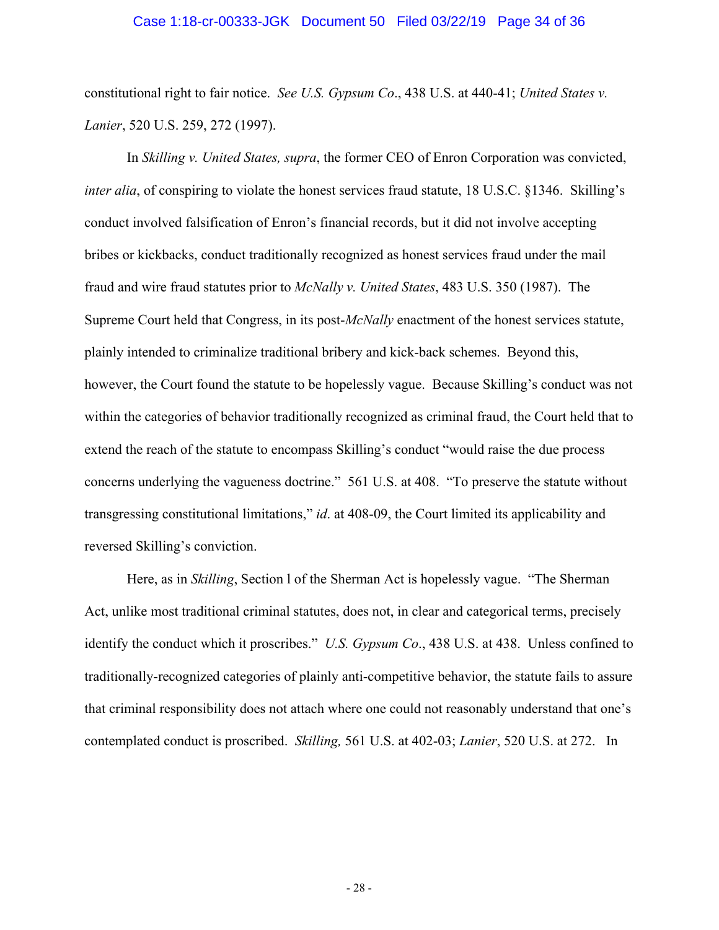#### Case 1:18-cr-00333-JGK Document 50 Filed 03/22/19 Page 34 of 36

constitutional right to fair notice. *See U.S. Gypsum Co*., 438 U.S. at 440-41; *United States v. Lanier*, 520 U.S. 259, 272 (1997).

In *Skilling v. United States, supra*, the former CEO of Enron Corporation was convicted, *inter alia*, of conspiring to violate the honest services fraud statute, 18 U.S.C. §1346. Skilling's conduct involved falsification of Enron's financial records, but it did not involve accepting bribes or kickbacks, conduct traditionally recognized as honest services fraud under the mail fraud and wire fraud statutes prior to *McNally v. United States*, 483 U.S. 350 (1987). The Supreme Court held that Congress, in its post-*McNally* enactment of the honest services statute, plainly intended to criminalize traditional bribery and kick-back schemes. Beyond this, however, the Court found the statute to be hopelessly vague. Because Skilling's conduct was not within the categories of behavior traditionally recognized as criminal fraud, the Court held that to extend the reach of the statute to encompass Skilling's conduct "would raise the due process concerns underlying the vagueness doctrine." 561 U.S. at 408. "To preserve the statute without transgressing constitutional limitations," *id*. at 408-09, the Court limited its applicability and reversed Skilling's conviction.

Here, as in *Skilling*, Section l of the Sherman Act is hopelessly vague. "The Sherman Act, unlike most traditional criminal statutes, does not, in clear and categorical terms, precisely identify the conduct which it proscribes." *U.S. Gypsum Co*., 438 U.S. at 438. Unless confined to traditionally-recognized categories of plainly anti-competitive behavior, the statute fails to assure that criminal responsibility does not attach where one could not reasonably understand that one's contemplated conduct is proscribed. *Skilling,* 561 U.S. at 402-03; *Lanier*, 520 U.S. at 272. In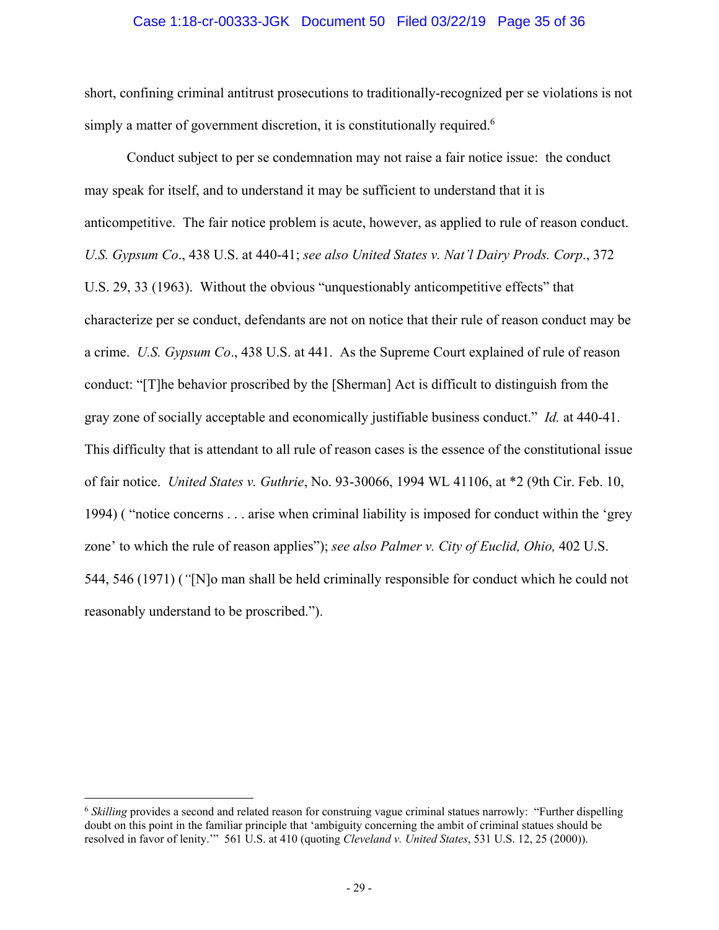## Case 1:18-cr-00333-JGK Document 50 Filed 03/22/19 Page 35 of 36

short, confining criminal antitrust prosecutions to traditionally-recognized per se violations is not simply a matter of government discretion, it is constitutionally required.<sup>6</sup>

Conduct subject to per se condemnation may not raise a fair notice issue: the conduct may speak for itself, and to understand it may be sufficient to understand that it is anticompetitive. The fair notice problem is acute, however, as applied to rule of reason conduct. *U.S. Gypsum Co*., 438 U.S. at 440-41; *see also United States v. Nat'l Dairy Prods. Corp*., 372 U.S. 29, 33 (1963). Without the obvious "unquestionably anticompetitive effects" that characterize per se conduct, defendants are not on notice that their rule of reason conduct may be a crime. *U.S. Gypsum Co*., 438 U.S. at 441. As the Supreme Court explained of rule of reason conduct: "[T]he behavior proscribed by the [Sherman] Act is difficult to distinguish from the gray zone of socially acceptable and economically justifiable business conduct." *Id.* at 440-41. This difficulty that is attendant to all rule of reason cases is the essence of the constitutional issue of fair notice. *United States v. Guthrie*, No. 93-30066, 1994 WL 41106, at \*2 (9th Cir. Feb. 10, 1994) ( "notice concerns . . . arise when criminal liability is imposed for conduct within the 'grey zone' to which the rule of reason applies"); *see also Palmer v. City of Euclid, Ohio,* 402 U.S. 544, 546 (1971) (*"*[N]o man shall be held criminally responsible for conduct which he could not reasonably understand to be proscribed.").

 $\overline{a}$ 

<sup>6</sup> *Skilling* provides a second and related reason for construing vague criminal statues narrowly: "Further dispelling doubt on this point in the familiar principle that 'ambiguity concerning the ambit of criminal statues should be resolved in favor of lenity.'" 561 U.S. at 410 (quoting *Cleveland v. United States*, 531 U.S. 12, 25 (2000)).